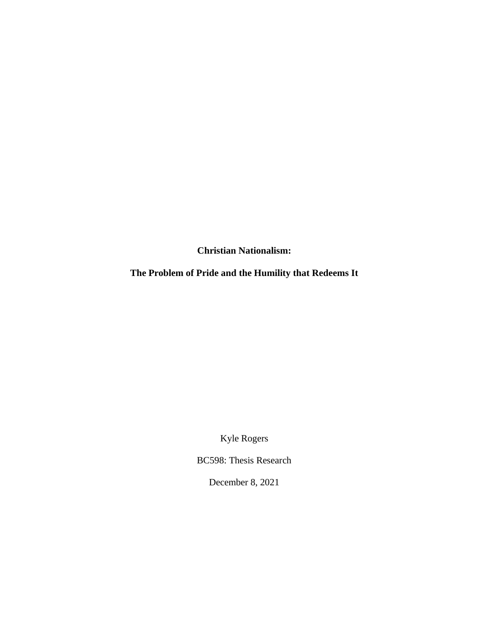**Christian Nationalism:**

**The Problem of Pride and the Humility that Redeems It**

Kyle Rogers

BC598: Thesis Research

December 8, 2021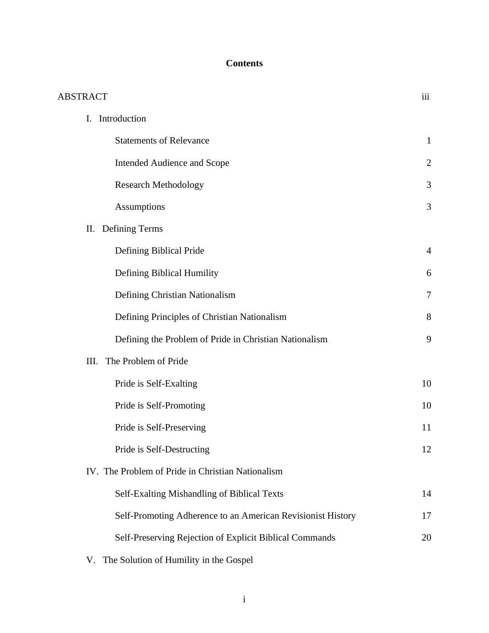# **Contents**

| <b>ABSTRACT</b>                                             | iii            |
|-------------------------------------------------------------|----------------|
| I. Introduction                                             |                |
| <b>Statements of Relevance</b>                              | $\mathbf{1}$   |
| Intended Audience and Scope                                 | $\overline{2}$ |
| <b>Research Methodology</b>                                 | 3              |
| <b>Assumptions</b>                                          | 3              |
| Defining Terms<br>П.                                        |                |
| Defining Biblical Pride                                     | 4              |
| Defining Biblical Humility                                  | 6              |
| Defining Christian Nationalism                              | 7              |
| Defining Principles of Christian Nationalism                | 8              |
| Defining the Problem of Pride in Christian Nationalism      | 9              |
| The Problem of Pride<br>III.                                |                |
| Pride is Self-Exalting                                      | 10             |
| Pride is Self-Promoting                                     | 10             |
| Pride is Self-Preserving                                    | 11             |
| Pride is Self-Destructing                                   | 12             |
| IV. The Problem of Pride in Christian Nationalism           |                |
| Self-Exalting Mishandling of Biblical Texts                 | 14             |
| Self-Promoting Adherence to an American Revisionist History | 17             |
| Self-Preserving Rejection of Explicit Biblical Commands     | 20             |
|                                                             |                |

V. The Solution of Humility in the Gospel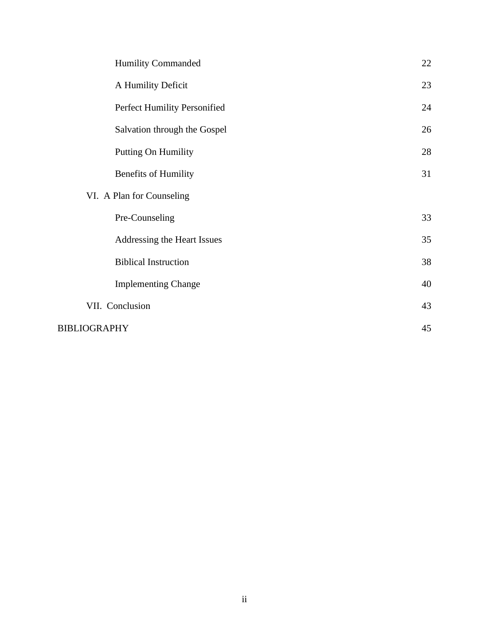|                           | <b>Humility Commanded</b>    | 22 |  |
|---------------------------|------------------------------|----|--|
|                           | A Humility Deficit           | 23 |  |
|                           | Perfect Humility Personified | 24 |  |
|                           | Salvation through the Gospel | 26 |  |
|                           | Putting On Humility          | 28 |  |
|                           | <b>Benefits of Humility</b>  | 31 |  |
| VI. A Plan for Counseling |                              |    |  |
|                           | Pre-Counseling               | 33 |  |
|                           | Addressing the Heart Issues  | 35 |  |
|                           | <b>Biblical Instruction</b>  | 38 |  |
|                           | <b>Implementing Change</b>   | 40 |  |
|                           | VII. Conclusion              | 43 |  |
|                           | BIBLIOGRAPHY                 |    |  |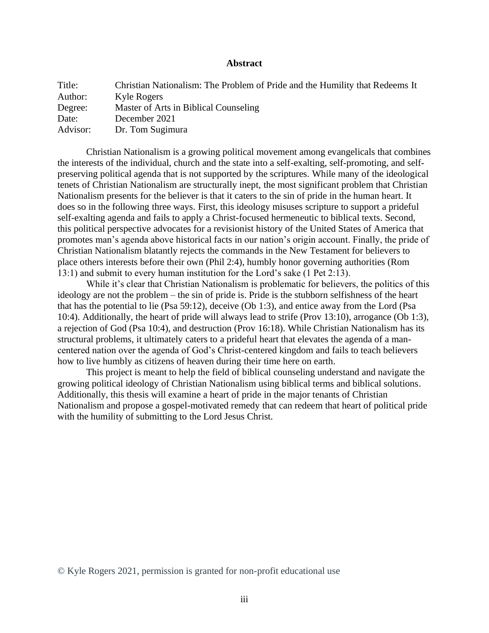## **Abstract**

| Title:   | Christian Nationalism: The Problem of Pride and the Humility that Redeems It |
|----------|------------------------------------------------------------------------------|
| Author:  | Kyle Rogers                                                                  |
| Degree:  | Master of Arts in Biblical Counseling                                        |
| Date:    | December 2021                                                                |
| Advisor: | Dr. Tom Sugimura                                                             |

Christian Nationalism is a growing political movement among evangelicals that combines the interests of the individual, church and the state into a self-exalting, self-promoting, and selfpreserving political agenda that is not supported by the scriptures. While many of the ideological tenets of Christian Nationalism are structurally inept, the most significant problem that Christian Nationalism presents for the believer is that it caters to the sin of pride in the human heart. It does so in the following three ways. First, this ideology misuses scripture to support a prideful self-exalting agenda and fails to apply a Christ-focused hermeneutic to biblical texts. Second, this political perspective advocates for a revisionist history of the United States of America that promotes man's agenda above historical facts in our nation's origin account. Finally, the pride of Christian Nationalism blatantly rejects the commands in the New Testament for believers to place others interests before their own (Phil 2:4), humbly honor governing authorities (Rom 13:1) and submit to every human institution for the Lord's sake (1 Pet 2:13).

While it's clear that Christian Nationalism is problematic for believers, the politics of this ideology are not the problem – the sin of pride is. Pride is the stubborn selfishness of the heart that has the potential to lie (Psa 59:12), deceive (Ob 1:3), and entice away from the Lord (Psa 10:4). Additionally, the heart of pride will always lead to strife (Prov 13:10), arrogance (Ob 1:3), a rejection of God (Psa 10:4), and destruction (Prov 16:18). While Christian Nationalism has its structural problems, it ultimately caters to a prideful heart that elevates the agenda of a mancentered nation over the agenda of God's Christ-centered kingdom and fails to teach believers how to live humbly as citizens of heaven during their time here on earth.

This project is meant to help the field of biblical counseling understand and navigate the growing political ideology of Christian Nationalism using biblical terms and biblical solutions. Additionally, this thesis will examine a heart of pride in the major tenants of Christian Nationalism and propose a gospel-motivated remedy that can redeem that heart of political pride with the humility of submitting to the Lord Jesus Christ.

© Kyle Rogers 2021, permission is granted for non-profit educational use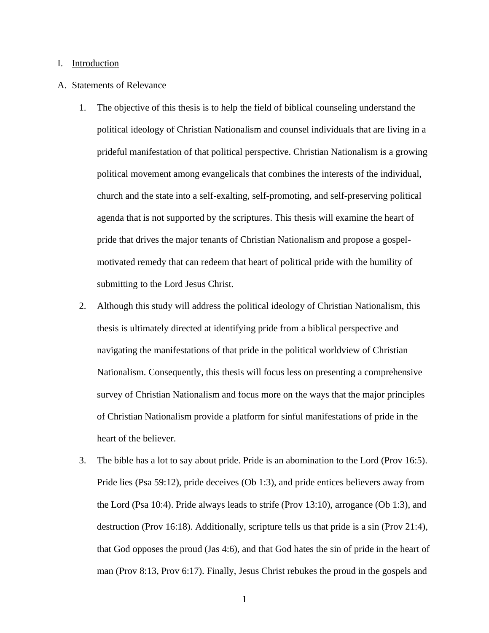#### I. Introduction

#### A. Statements of Relevance

- 1. The objective of this thesis is to help the field of biblical counseling understand the political ideology of Christian Nationalism and counsel individuals that are living in a prideful manifestation of that political perspective. Christian Nationalism is a growing political movement among evangelicals that combines the interests of the individual, church and the state into a self-exalting, self-promoting, and self-preserving political agenda that is not supported by the scriptures. This thesis will examine the heart of pride that drives the major tenants of Christian Nationalism and propose a gospelmotivated remedy that can redeem that heart of political pride with the humility of submitting to the Lord Jesus Christ.
- 2. Although this study will address the political ideology of Christian Nationalism, this thesis is ultimately directed at identifying pride from a biblical perspective and navigating the manifestations of that pride in the political worldview of Christian Nationalism. Consequently, this thesis will focus less on presenting a comprehensive survey of Christian Nationalism and focus more on the ways that the major principles of Christian Nationalism provide a platform for sinful manifestations of pride in the heart of the believer.
- 3. The bible has a lot to say about pride. Pride is an abomination to the Lord (Prov 16:5). Pride lies (Psa 59:12), pride deceives (Ob 1:3), and pride entices believers away from the Lord (Psa 10:4). Pride always leads to strife (Prov 13:10), arrogance (Ob 1:3), and destruction (Prov 16:18). Additionally, scripture tells us that pride is a sin (Prov 21:4), that God opposes the proud (Jas 4:6), and that God hates the sin of pride in the heart of man (Prov 8:13, Prov 6:17). Finally, Jesus Christ rebukes the proud in the gospels and

1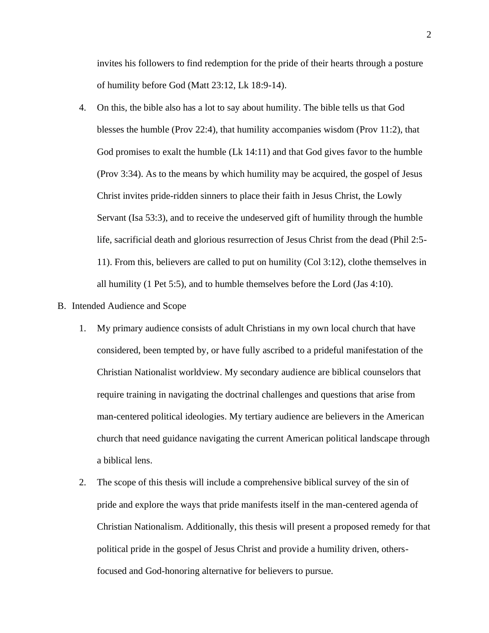invites his followers to find redemption for the pride of their hearts through a posture of humility before God (Matt 23:12, Lk 18:9-14).

- 4. On this, the bible also has a lot to say about humility. The bible tells us that God blesses the humble (Prov 22:4), that humility accompanies wisdom (Prov 11:2), that God promises to exalt the humble (Lk 14:11) and that God gives favor to the humble (Prov 3:34). As to the means by which humility may be acquired, the gospel of Jesus Christ invites pride-ridden sinners to place their faith in Jesus Christ, the Lowly Servant (Isa 53:3), and to receive the undeserved gift of humility through the humble life, sacrificial death and glorious resurrection of Jesus Christ from the dead (Phil 2:5- 11). From this, believers are called to put on humility (Col 3:12), clothe themselves in all humility (1 Pet 5:5), and to humble themselves before the Lord (Jas 4:10).
- B. Intended Audience and Scope
	- 1. My primary audience consists of adult Christians in my own local church that have considered, been tempted by, or have fully ascribed to a prideful manifestation of the Christian Nationalist worldview. My secondary audience are biblical counselors that require training in navigating the doctrinal challenges and questions that arise from man-centered political ideologies. My tertiary audience are believers in the American church that need guidance navigating the current American political landscape through a biblical lens.
	- 2. The scope of this thesis will include a comprehensive biblical survey of the sin of pride and explore the ways that pride manifests itself in the man-centered agenda of Christian Nationalism. Additionally, this thesis will present a proposed remedy for that political pride in the gospel of Jesus Christ and provide a humility driven, othersfocused and God-honoring alternative for believers to pursue.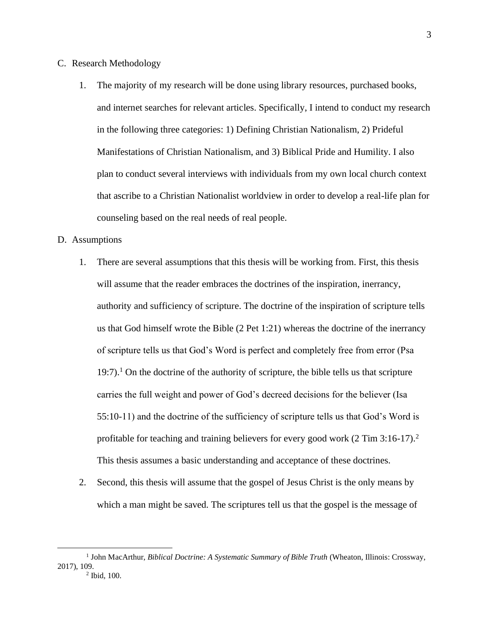- C. Research Methodology
	- 1. The majority of my research will be done using library resources, purchased books, and internet searches for relevant articles. Specifically, I intend to conduct my research in the following three categories: 1) Defining Christian Nationalism, 2) Prideful Manifestations of Christian Nationalism, and 3) Biblical Pride and Humility. I also plan to conduct several interviews with individuals from my own local church context that ascribe to a Christian Nationalist worldview in order to develop a real-life plan for counseling based on the real needs of real people.

## D. Assumptions

- 1. There are several assumptions that this thesis will be working from. First, this thesis will assume that the reader embraces the doctrines of the inspiration, inerrancy, authority and sufficiency of scripture. The doctrine of the inspiration of scripture tells us that God himself wrote the Bible (2 Pet 1:21) whereas the doctrine of the inerrancy of scripture tells us that God's Word is perfect and completely free from error (Psa  $19:7$ .<sup>1</sup> On the doctrine of the authority of scripture, the bible tells us that scripture carries the full weight and power of God's decreed decisions for the believer (Isa 55:10-11) and the doctrine of the sufficiency of scripture tells us that God's Word is profitable for teaching and training believers for every good work (2 Tim 3:16-17).<sup>2</sup> This thesis assumes a basic understanding and acceptance of these doctrines.
- 2. Second, this thesis will assume that the gospel of Jesus Christ is the only means by which a man might be saved. The scriptures tell us that the gospel is the message of

<sup>&</sup>lt;sup>1</sup> John MacArthur, *Biblical Doctrine: A Systematic Summary of Bible Truth* (Wheaton, Illinois: Crossway, 2017), 109. 2 Ibid, 100.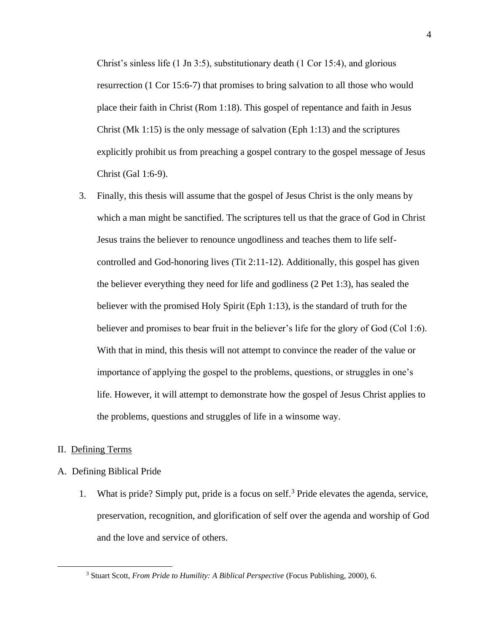Christ's sinless life  $(1 \text{ In } 3:5)$ , substitutionary death  $(1 \text{ Cor } 15:4)$ , and glorious resurrection (1 Cor 15:6-7) that promises to bring salvation to all those who would place their faith in Christ (Rom 1:18). This gospel of repentance and faith in Jesus Christ (Mk 1:15) is the only message of salvation (Eph 1:13) and the scriptures explicitly prohibit us from preaching a gospel contrary to the gospel message of Jesus Christ (Gal 1:6-9).

3. Finally, this thesis will assume that the gospel of Jesus Christ is the only means by which a man might be sanctified. The scriptures tell us that the grace of God in Christ Jesus trains the believer to renounce ungodliness and teaches them to life selfcontrolled and God-honoring lives (Tit 2:11-12). Additionally, this gospel has given the believer everything they need for life and godliness (2 Pet 1:3), has sealed the believer with the promised Holy Spirit (Eph 1:13), is the standard of truth for the believer and promises to bear fruit in the believer's life for the glory of God (Col 1:6). With that in mind, this thesis will not attempt to convince the reader of the value or importance of applying the gospel to the problems, questions, or struggles in one's life. However, it will attempt to demonstrate how the gospel of Jesus Christ applies to the problems, questions and struggles of life in a winsome way.

## II. Defining Terms

## A. Defining Biblical Pride

1. What is pride? Simply put, pride is a focus on self.<sup>3</sup> Pride elevates the agenda, service, preservation, recognition, and glorification of self over the agenda and worship of God and the love and service of others.

<sup>3</sup> Stuart Scott, *From Pride to Humility: A Biblical Perspective* (Focus Publishing, 2000), 6.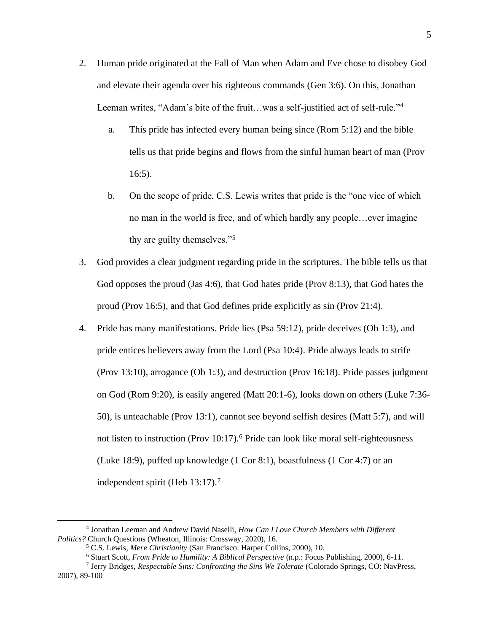- 2. Human pride originated at the Fall of Man when Adam and Eve chose to disobey God and elevate their agenda over his righteous commands (Gen 3:6). On this, Jonathan Leeman writes, "Adam's bite of the fruit…was a self-justified act of self-rule."<sup>4</sup>
	- a. This pride has infected every human being since (Rom 5:12) and the bible tells us that pride begins and flows from the sinful human heart of man (Prov 16:5).
	- b. On the scope of pride, C.S. Lewis writes that pride is the "one vice of which no man in the world is free, and of which hardly any people…ever imagine thy are guilty themselves."<sup>5</sup>
- 3. God provides a clear judgment regarding pride in the scriptures. The bible tells us that God opposes the proud (Jas 4:6), that God hates pride (Prov 8:13), that God hates the proud (Prov 16:5), and that God defines pride explicitly as sin (Prov 21:4).
- 4. Pride has many manifestations. Pride lies (Psa 59:12), pride deceives (Ob 1:3), and pride entices believers away from the Lord (Psa 10:4). Pride always leads to strife (Prov 13:10), arrogance (Ob 1:3), and destruction (Prov 16:18). Pride passes judgment on God (Rom 9:20), is easily angered (Matt 20:1-6), looks down on others (Luke 7:36- 50), is unteachable (Prov 13:1), cannot see beyond selfish desires (Matt 5:7), and will not listen to instruction (Prov 10:17).<sup>6</sup> Pride can look like moral self-righteousness (Luke 18:9), puffed up knowledge (1 Cor 8:1), boastfulness (1 Cor 4:7) or an independent spirit (Heb 13:17).<sup>7</sup>

<sup>4</sup> Jonathan Leeman and Andrew David Naselli, *How Can I Love Church Members with Different Politics?* Church Questions (Wheaton, Illinois: Crossway, 2020), 16.

<sup>5</sup> C.S. Lewis, *Mere Christianity* (San Francisco: Harper Collins, 2000), 10.

<sup>6</sup> Stuart Scott, *From Pride to Humility: A Biblical Perspective* (n.p.: Focus Publishing, 2000), 6-11.

<sup>7</sup> Jerry Bridges, *Respectable Sins: Confronting the Sins We Tolerate* (Colorado Springs, CO: NavPress, 2007), 89-100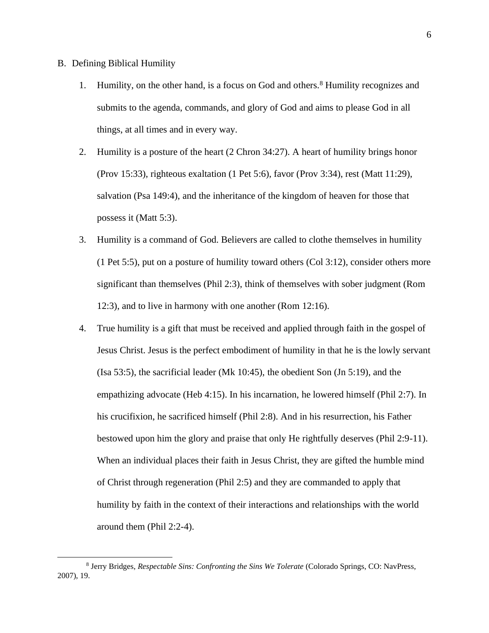- B. Defining Biblical Humility
	- 1. Humility, on the other hand, is a focus on God and others.<sup>8</sup> Humility recognizes and submits to the agenda, commands, and glory of God and aims to please God in all things, at all times and in every way.
	- 2. Humility is a posture of the heart (2 Chron 34:27). A heart of humility brings honor (Prov 15:33), righteous exaltation (1 Pet 5:6), favor (Prov 3:34), rest (Matt 11:29), salvation (Psa 149:4), and the inheritance of the kingdom of heaven for those that possess it (Matt 5:3).
	- 3. Humility is a command of God. Believers are called to clothe themselves in humility (1 Pet 5:5), put on a posture of humility toward others (Col 3:12), consider others more significant than themselves (Phil 2:3), think of themselves with sober judgment (Rom 12:3), and to live in harmony with one another (Rom 12:16).
	- 4. True humility is a gift that must be received and applied through faith in the gospel of Jesus Christ. Jesus is the perfect embodiment of humility in that he is the lowly servant (Isa 53:5), the sacrificial leader (Mk 10:45), the obedient Son (Jn 5:19), and the empathizing advocate (Heb 4:15). In his incarnation, he lowered himself (Phil 2:7). In his crucifixion, he sacrificed himself (Phil 2:8). And in his resurrection, his Father bestowed upon him the glory and praise that only He rightfully deserves (Phil 2:9-11). When an individual places their faith in Jesus Christ, they are gifted the humble mind of Christ through regeneration (Phil 2:5) and they are commanded to apply that humility by faith in the context of their interactions and relationships with the world around them (Phil 2:2-4).

<sup>8</sup> Jerry Bridges, *Respectable Sins: Confronting the Sins We Tolerate* (Colorado Springs, CO: NavPress, 2007), 19.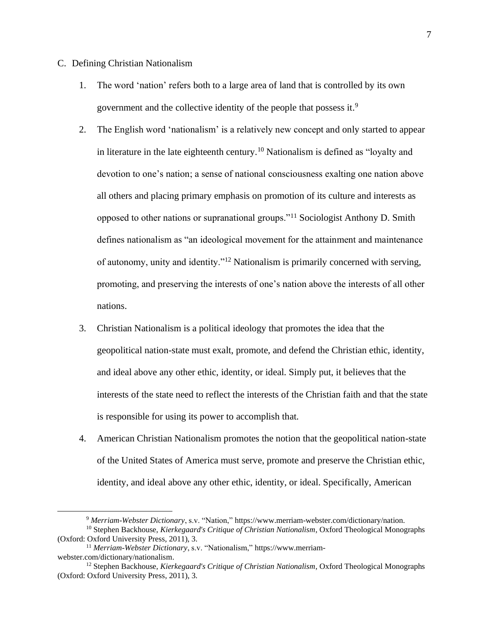- C. Defining Christian Nationalism
	- 1. The word 'nation' refers both to a large area of land that is controlled by its own government and the collective identity of the people that possess it. 9
	- 2. The English word 'nationalism' is a relatively new concept and only started to appear in literature in the late eighteenth century.<sup>10</sup> Nationalism is defined as "loyalty and devotion to one's nation; a sense of national consciousness exalting one nation above all others and placing primary emphasis on promotion of its culture and interests as opposed to other nations or supranational groups."<sup>11</sup> Sociologist Anthony D. Smith defines nationalism as "an ideological movement for the attainment and maintenance of autonomy, unity and identity."<sup>12</sup> Nationalism is primarily concerned with serving, promoting, and preserving the interests of one's nation above the interests of all other nations.
	- 3. Christian Nationalism is a political ideology that promotes the idea that the geopolitical nation-state must exalt, promote, and defend the Christian ethic, identity, and ideal above any other ethic, identity, or ideal. Simply put, it believes that the interests of the state need to reflect the interests of the Christian faith and that the state is responsible for using its power to accomplish that.
	- 4. American Christian Nationalism promotes the notion that the geopolitical nation-state of the United States of America must serve, promote and preserve the Christian ethic, identity, and ideal above any other ethic, identity, or ideal. Specifically, American

<sup>9</sup> *Merriam-Webster Dictionary*, s.v. "Nation," https://www.merriam-webster.com/dictionary/nation.

<sup>10</sup> Stephen Backhouse, *Kierkegaard's Critique of Christian Nationalism*, Oxford Theological Monographs (Oxford: Oxford University Press, 2011), 3.

<sup>11</sup> *Merriam-Webster Dictionary*, s.v. "Nationalism," [https://www.merriam](https://www.merriam-webster.com/dictionary/nationalism)[webster.com/dictionary/nationalism.](https://www.merriam-webster.com/dictionary/nationalism)

<sup>12</sup> Stephen Backhouse, *Kierkegaard's Critique of Christian Nationalism*, Oxford Theological Monographs (Oxford: Oxford University Press, 2011), 3.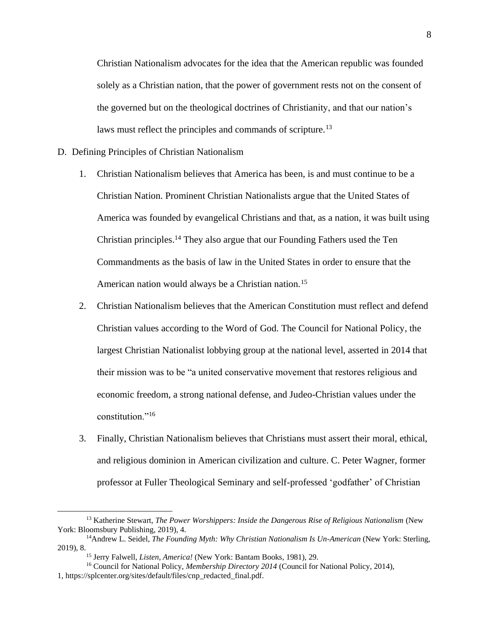Christian Nationalism advocates for the idea that the American republic was founded solely as a Christian nation, that the power of government rests not on the consent of the governed but on the theological doctrines of Christianity, and that our nation's laws must reflect the principles and commands of scripture.<sup>13</sup>

- D. Defining Principles of Christian Nationalism
	- 1. Christian Nationalism believes that America has been, is and must continue to be a Christian Nation. Prominent Christian Nationalists argue that the United States of America was founded by evangelical Christians and that, as a nation, it was built using Christian principles.<sup>14</sup> They also argue that our Founding Fathers used the Ten Commandments as the basis of law in the United States in order to ensure that the American nation would always be a Christian nation.<sup>15</sup>
	- 2. Christian Nationalism believes that the American Constitution must reflect and defend Christian values according to the Word of God. The Council for National Policy, the largest Christian Nationalist lobbying group at the national level, asserted in 2014 that their mission was to be "a united conservative movement that restores religious and economic freedom, a strong national defense, and Judeo-Christian values under the constitution."<sup>16</sup>
	- 3. Finally, Christian Nationalism believes that Christians must assert their moral, ethical, and religious dominion in American civilization and culture. C. Peter Wagner, former professor at Fuller Theological Seminary and self-professed 'godfather' of Christian

<sup>13</sup> Katherine Stewart, *The Power Worshippers: Inside the Dangerous Rise of Religious Nationalism* (New York: Bloomsbury Publishing, 2019), 4.

<sup>14</sup>Andrew L. Seidel, *The Founding Myth: Why Christian Nationalism Is Un-American* (New York: Sterling, 2019), 8.

<sup>15</sup> Jerry Falwell, *Listen, America!* (New York: Bantam Books, 1981), 29.

<sup>16</sup> Council for National Policy, *Membership Directory 2014* (Council for National Policy, 2014),

<sup>1,</sup> [https://splcenter.org/sites/default/files/cnp\\_redacted\\_final.pdf.](https://splcenter.org/sites/default/files/cnp_redacted_final.pdf)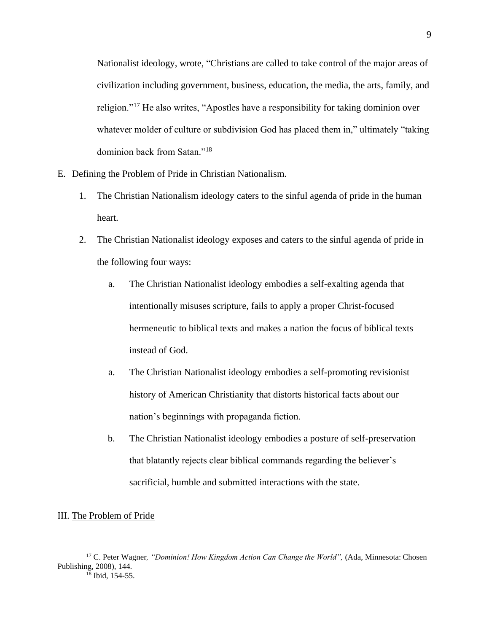Nationalist ideology, wrote, "Christians are called to take control of the major areas of civilization including government, business, education, the media, the arts, family, and religion."<sup>17</sup> He also writes, "Apostles have a responsibility for taking dominion over whatever molder of culture or subdivision God has placed them in," ultimately "taking dominion back from Satan."<sup>18</sup>

- E. Defining the Problem of Pride in Christian Nationalism.
	- 1. The Christian Nationalism ideology caters to the sinful agenda of pride in the human heart.
	- 2. The Christian Nationalist ideology exposes and caters to the sinful agenda of pride in the following four ways:
		- a. The Christian Nationalist ideology embodies a self-exalting agenda that intentionally misuses scripture, fails to apply a proper Christ-focused hermeneutic to biblical texts and makes a nation the focus of biblical texts instead of God.
		- a. The Christian Nationalist ideology embodies a self-promoting revisionist history of American Christianity that distorts historical facts about our nation's beginnings with propaganda fiction.
		- b. The Christian Nationalist ideology embodies a posture of self-preservation that blatantly rejects clear biblical commands regarding the believer's sacrificial, humble and submitted interactions with the state.

## III. The Problem of Pride

<sup>&</sup>lt;sup>17</sup> C. Peter Wagner, "Dominion! How Kingdom Action Can Change the World", (Ada, Minnesota: Chosen Publishing, 2008), 144.

<sup>&</sup>lt;sup>18</sup> Ibid, 154-55.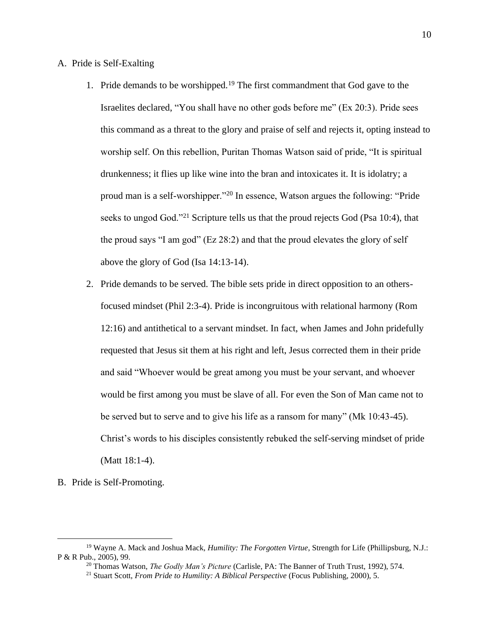## A. Pride is Self-Exalting

- 1. Pride demands to be worshipped.<sup>19</sup> The first commandment that God gave to the Israelites declared, "You shall have no other gods before me" (Ex 20:3). Pride sees this command as a threat to the glory and praise of self and rejects it, opting instead to worship self. On this rebellion, Puritan Thomas Watson said of pride, "It is spiritual drunkenness; it flies up like wine into the bran and intoxicates it. It is idolatry; a proud man is a self-worshipper."<sup>20</sup> In essence, Watson argues the following: "Pride seeks to ungod God."<sup>21</sup> Scripture tells us that the proud rejects God (Psa 10:4), that the proud says "I am god" ( $Ez$  28:2) and that the proud elevates the glory of self above the glory of God (Isa 14:13-14).
- 2. Pride demands to be served. The bible sets pride in direct opposition to an othersfocused mindset (Phil 2:3-4). Pride is incongruitous with relational harmony (Rom 12:16) and antithetical to a servant mindset. In fact, when James and John pridefully requested that Jesus sit them at his right and left, Jesus corrected them in their pride and said "Whoever would be great among you must be your servant, and whoever would be first among you must be slave of all. For even the Son of Man came not to be served but to serve and to give his life as a ransom for many" (Mk 10:43-45). Christ's words to his disciples consistently rebuked the self-serving mindset of pride (Matt 18:1-4).
- B. Pride is Self-Promoting.

<sup>19</sup> Wayne A. Mack and Joshua Mack, *Humility: The Forgotten Virtue*, Strength for Life (Phillipsburg, N.J.: P & R Pub., 2005), 99.

<sup>20</sup> Thomas Watson, *The Godly Man's Picture* (Carlisle, PA: The Banner of Truth Trust, 1992), 574.

<sup>21</sup> Stuart Scott, *From Pride to Humility: A Biblical Perspective* (Focus Publishing, 2000), 5.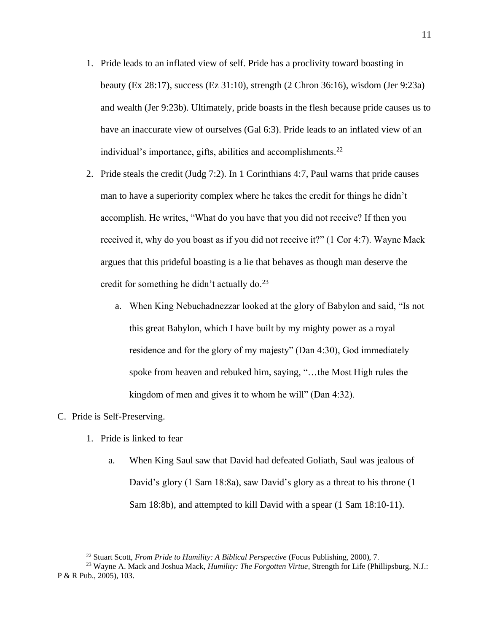- 1. Pride leads to an inflated view of self. Pride has a proclivity toward boasting in beauty (Ex 28:17), success (Ez 31:10), strength (2 Chron 36:16), wisdom (Jer 9:23a) and wealth (Jer 9:23b). Ultimately, pride boasts in the flesh because pride causes us to have an inaccurate view of ourselves (Gal 6:3). Pride leads to an inflated view of an individual's importance, gifts, abilities and accomplishments. $^{22}$
- 2. Pride steals the credit (Judg 7:2). In 1 Corinthians 4:7, Paul warns that pride causes man to have a superiority complex where he takes the credit for things he didn't accomplish. He writes, "What do you have that you did not receive? If then you received it, why do you boast as if you did not receive it?" (1 Cor 4:7). Wayne Mack argues that this prideful boasting is a lie that behaves as though man deserve the credit for something he didn't actually do.<sup>23</sup>
	- a. When King Nebuchadnezzar looked at the glory of Babylon and said, "Is not this great Babylon, which I have built by my mighty power as a royal residence and for the glory of my majesty" (Dan 4:30), God immediately spoke from heaven and rebuked him, saying, "…the Most High rules the kingdom of men and gives it to whom he will" (Dan 4:32).

## C. Pride is Self-Preserving.

- 1. Pride is linked to fear
	- a. When King Saul saw that David had defeated Goliath, Saul was jealous of David's glory (1 Sam 18:8a), saw David's glory as a threat to his throne (1 Sam 18:8b), and attempted to kill David with a spear (1 Sam 18:10-11).

<sup>22</sup> Stuart Scott, *From Pride to Humility: A Biblical Perspective* (Focus Publishing, 2000), 7.

<sup>23</sup> Wayne A. Mack and Joshua Mack, *Humility: The Forgotten Virtue*, Strength for Life (Phillipsburg, N.J.: P & R Pub., 2005), 103.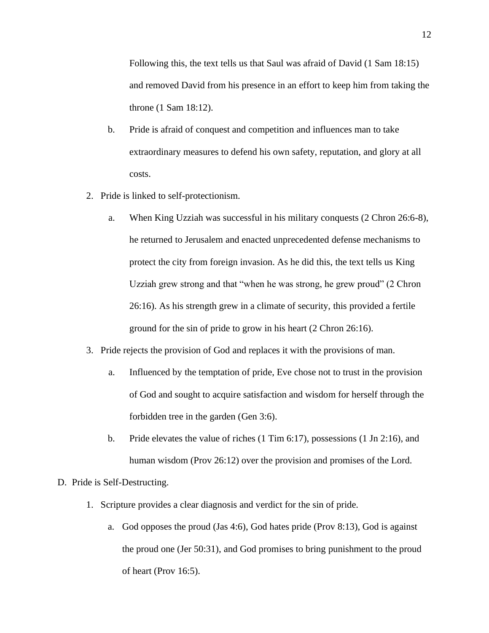Following this, the text tells us that Saul was afraid of David (1 Sam 18:15) and removed David from his presence in an effort to keep him from taking the throne (1 Sam 18:12).

- b. Pride is afraid of conquest and competition and influences man to take extraordinary measures to defend his own safety, reputation, and glory at all costs.
- 2. Pride is linked to self-protectionism.
	- a. When King Uzziah was successful in his military conquests (2 Chron 26:6-8), he returned to Jerusalem and enacted unprecedented defense mechanisms to protect the city from foreign invasion. As he did this, the text tells us King Uzziah grew strong and that "when he was strong, he grew proud" (2 Chron 26:16). As his strength grew in a climate of security, this provided a fertile ground for the sin of pride to grow in his heart (2 Chron 26:16).
- 3. Pride rejects the provision of God and replaces it with the provisions of man.
	- a. Influenced by the temptation of pride, Eve chose not to trust in the provision of God and sought to acquire satisfaction and wisdom for herself through the forbidden tree in the garden (Gen 3:6).
	- b. Pride elevates the value of riches (1 Tim 6:17), possessions (1 Jn 2:16), and human wisdom (Prov 26:12) over the provision and promises of the Lord.

## D. Pride is Self-Destructing.

- 1. Scripture provides a clear diagnosis and verdict for the sin of pride.
	- a. God opposes the proud (Jas 4:6), God hates pride (Prov 8:13), God is against the proud one (Jer 50:31), and God promises to bring punishment to the proud of heart (Prov 16:5).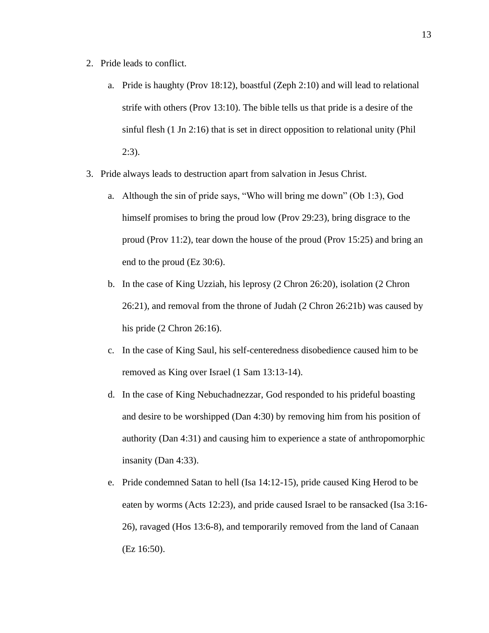- 2. Pride leads to conflict.
	- a. Pride is haughty (Prov 18:12), boastful (Zeph 2:10) and will lead to relational strife with others (Prov 13:10). The bible tells us that pride is a desire of the sinful flesh (1 Jn 2:16) that is set in direct opposition to relational unity (Phil 2:3).
- 3. Pride always leads to destruction apart from salvation in Jesus Christ.
	- a. Although the sin of pride says, "Who will bring me down" (Ob 1:3), God himself promises to bring the proud low (Prov 29:23), bring disgrace to the proud (Prov 11:2), tear down the house of the proud (Prov 15:25) and bring an end to the proud (Ez 30:6).
	- b. In the case of King Uzziah, his leprosy (2 Chron 26:20), isolation (2 Chron 26:21), and removal from the throne of Judah (2 Chron 26:21b) was caused by his pride (2 Chron 26:16).
	- c. In the case of King Saul, his self-centeredness disobedience caused him to be removed as King over Israel (1 Sam 13:13-14).
	- d. In the case of King Nebuchadnezzar, God responded to his prideful boasting and desire to be worshipped (Dan 4:30) by removing him from his position of authority (Dan 4:31) and causing him to experience a state of anthropomorphic insanity (Dan 4:33).
	- e. Pride condemned Satan to hell (Isa 14:12-15), pride caused King Herod to be eaten by worms (Acts 12:23), and pride caused Israel to be ransacked (Isa 3:16- 26), ravaged (Hos 13:6-8), and temporarily removed from the land of Canaan (Ez 16:50).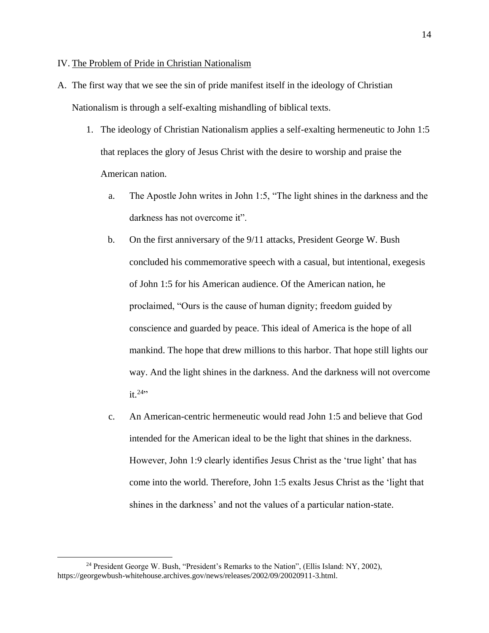#### IV. The Problem of Pride in Christian Nationalism

- A. The first way that we see the sin of pride manifest itself in the ideology of Christian Nationalism is through a self-exalting mishandling of biblical texts.
	- 1. The ideology of Christian Nationalism applies a self-exalting hermeneutic to John 1:5 that replaces the glory of Jesus Christ with the desire to worship and praise the American nation.
		- a. The Apostle John writes in John 1:5, "The light shines in the darkness and the darkness has not overcome it".
		- b. On the first anniversary of the 9/11 attacks, President George W. Bush concluded his commemorative speech with a casual, but intentional, exegesis of John 1:5 for his American audience. Of the American nation, he proclaimed, "Ours is the cause of human dignity; freedom guided by conscience and guarded by peace. This ideal of America is the hope of all mankind. The hope that drew millions to this harbor. That hope still lights our way. And the light shines in the darkness. And the darkness will not overcome  $it.$ <sup>24</sup>"
		- c. An American-centric hermeneutic would read John 1:5 and believe that God intended for the American ideal to be the light that shines in the darkness. However, John 1:9 clearly identifies Jesus Christ as the 'true light' that has come into the world. Therefore, John 1:5 exalts Jesus Christ as the 'light that shines in the darkness' and not the values of a particular nation-state.

<sup>&</sup>lt;sup>24</sup> President George W. Bush, "President's Remarks to the Nation", (Ellis Island: NY, 2002), https://georgewbush-whitehouse.archives.gov/news/releases/2002/09/20020911-3.html.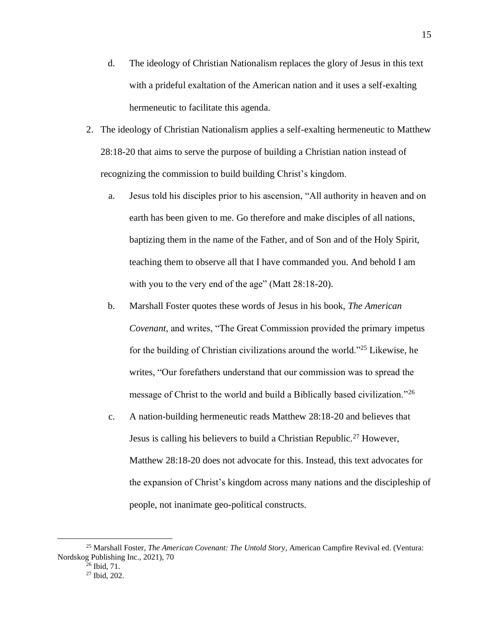- d. The ideology of Christian Nationalism replaces the glory of Jesus in this text with a prideful exaltation of the American nation and it uses a self-exalting hermeneutic to facilitate this agenda.
- 2. The ideology of Christian Nationalism applies a self-exalting hermeneutic to Matthew 28:18-20 that aims to serve the purpose of building a Christian nation instead of recognizing the commission to build building Christ's kingdom.
	- a. Jesus told his disciples prior to his ascension, "All authority in heaven and on earth has been given to me. Go therefore and make disciples of all nations, baptizing them in the name of the Father, and of Son and of the Holy Spirit, teaching them to observe all that I have commanded you. And behold I am with you to the very end of the age" (Matt 28:18-20).
	- b. Marshall Foster quotes these words of Jesus in his book, *The American Covenant,* and writes, "The Great Commission provided the primary impetus for the building of Christian civilizations around the world."<sup>25</sup> Likewise, he writes, "Our forefathers understand that our commission was to spread the message of Christ to the world and build a Biblically based civilization.<sup>"26</sup>
	- c. A nation-building hermeneutic reads Matthew 28:18-20 and believes that Jesus is calling his believers to build a Christian Republic.<sup>27</sup> However, Matthew 28:18-20 does not advocate for this. Instead, this text advocates for the expansion of Christ's kingdom across many nations and the discipleship of people, not inanimate geo-political constructs.

<sup>25</sup> Marshall Foster, *The American Covenant: The Untold Story*, American Campfire Revival ed. (Ventura: Nordskog Publishing Inc., 2021), 70

 $26$  Ibid,  $71$ .

<sup>27</sup> Ibid, 202.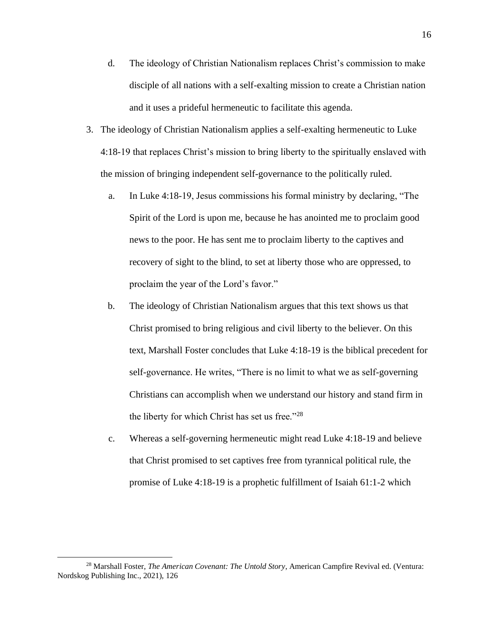- d. The ideology of Christian Nationalism replaces Christ's commission to make disciple of all nations with a self-exalting mission to create a Christian nation and it uses a prideful hermeneutic to facilitate this agenda.
- 3. The ideology of Christian Nationalism applies a self-exalting hermeneutic to Luke 4:18-19 that replaces Christ's mission to bring liberty to the spiritually enslaved with the mission of bringing independent self-governance to the politically ruled.
	- a. In Luke 4:18-19, Jesus commissions his formal ministry by declaring, "The Spirit of the Lord is upon me, because he has anointed me to proclaim good news to the poor. He has sent me to proclaim liberty to the captives and recovery of sight to the blind, to set at liberty those who are oppressed, to proclaim the year of the Lord's favor."
	- b. The ideology of Christian Nationalism argues that this text shows us that Christ promised to bring religious and civil liberty to the believer. On this text, Marshall Foster concludes that Luke 4:18-19 is the biblical precedent for self-governance. He writes, "There is no limit to what we as self-governing Christians can accomplish when we understand our history and stand firm in the liberty for which Christ has set us free."<sup>28</sup>
	- c. Whereas a self-governing hermeneutic might read Luke 4:18-19 and believe that Christ promised to set captives free from tyrannical political rule, the promise of Luke 4:18-19 is a prophetic fulfillment of Isaiah 61:1-2 which

<sup>28</sup> Marshall Foster, *The American Covenant: The Untold Story*, American Campfire Revival ed. (Ventura: Nordskog Publishing Inc., 2021), 126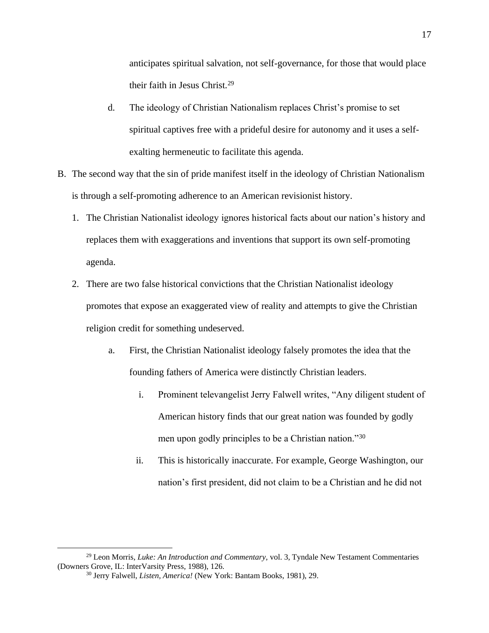anticipates spiritual salvation, not self-governance, for those that would place their faith in Jesus Christ.<sup>29</sup>

- d. The ideology of Christian Nationalism replaces Christ's promise to set spiritual captives free with a prideful desire for autonomy and it uses a selfexalting hermeneutic to facilitate this agenda.
- B. The second way that the sin of pride manifest itself in the ideology of Christian Nationalism is through a self-promoting adherence to an American revisionist history.
	- 1. The Christian Nationalist ideology ignores historical facts about our nation's history and replaces them with exaggerations and inventions that support its own self-promoting agenda.
	- 2. There are two false historical convictions that the Christian Nationalist ideology promotes that expose an exaggerated view of reality and attempts to give the Christian religion credit for something undeserved.
		- a. First, the Christian Nationalist ideology falsely promotes the idea that the founding fathers of America were distinctly Christian leaders.
			- i. Prominent televangelist Jerry Falwell writes, "Any diligent student of American history finds that our great nation was founded by godly men upon godly principles to be a Christian nation."<sup>30</sup>
			- ii. This is historically inaccurate. For example, George Washington, our nation's first president, did not claim to be a Christian and he did not

<sup>29</sup> Leon Morris, *Luke: An Introduction and Commentary,* vol. 3, Tyndale New Testament Commentaries (Downers Grove, IL: InterVarsity Press, 1988), 126.

<sup>30</sup> Jerry Falwell, *Listen, America!* (New York: Bantam Books, 1981), 29.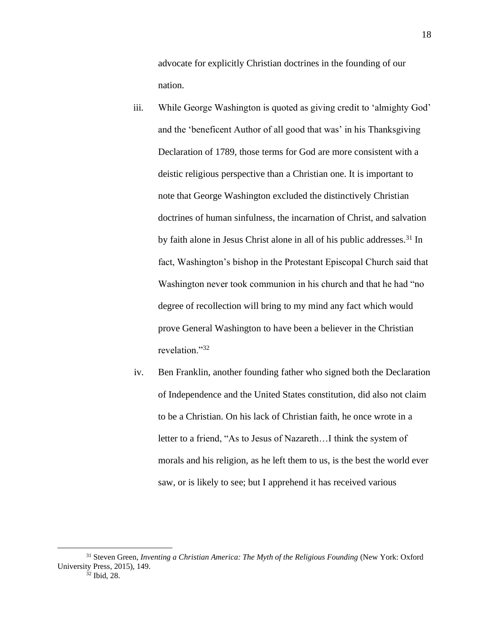advocate for explicitly Christian doctrines in the founding of our nation.

- iii. While George Washington is quoted as giving credit to 'almighty God' and the 'beneficent Author of all good that was' in his Thanksgiving Declaration of 1789, those terms for God are more consistent with a deistic religious perspective than a Christian one. It is important to note that George Washington excluded the distinctively Christian doctrines of human sinfulness, the incarnation of Christ, and salvation by faith alone in Jesus Christ alone in all of his public addresses.<sup>31</sup> In fact, Washington's bishop in the Protestant Episcopal Church said that Washington never took communion in his church and that he had "no degree of recollection will bring to my mind any fact which would prove General Washington to have been a believer in the Christian revelation."<sup>32</sup>
- iv. Ben Franklin, another founding father who signed both the Declaration of Independence and the United States constitution, did also not claim to be a Christian. On his lack of Christian faith, he once wrote in a letter to a friend, "As to Jesus of Nazareth…I think the system of morals and his religion, as he left them to us, is the best the world ever saw, or is likely to see; but I apprehend it has received various

<sup>31</sup> Steven Green, *Inventing a Christian America: The Myth of the Religious Founding* (New York: Oxford University Press, 2015), 149.

 $32$  Ibid, 28.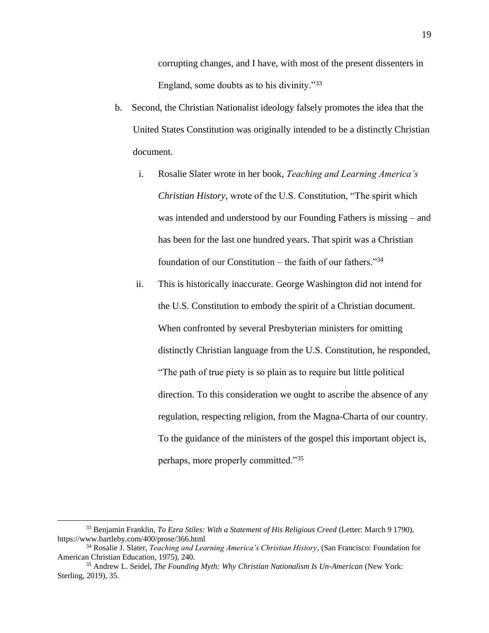corrupting changes, and I have, with most of the present dissenters in England, some doubts as to his divinity."<sup>33</sup>

- b. Second, the Christian Nationalist ideology falsely promotes the idea that the United States Constitution was originally intended to be a distinctly Christian document.
	- i. Rosalie Slater wrote in her book, *Teaching and Learning America's Christian History,* wrote of the U.S. Constitution, "The spirit which was intended and understood by our Founding Fathers is missing – and has been for the last one hundred years. That spirit was a Christian foundation of our Constitution – the faith of our fathers." $34$
	- ii. This is historically inaccurate. George Washington did not intend for the U.S. Constitution to embody the spirit of a Christian document. When confronted by several Presbyterian ministers for omitting distinctly Christian language from the U.S. Constitution, he responded, "The path of true piety is so plain as to require but little political direction. To this consideration we ought to ascribe the absence of any regulation, respecting religion, from the Magna-Charta of our country. To the guidance of the ministers of the gospel this important object is, perhaps, more properly committed."<sup>35</sup>

<sup>33</sup> Benjamin Franklin, *To Ezra Stiles: With a Statement of His Religious Creed* (Letter: March 9 1790), https://www.bartleby.com/400/prose/366.html

<sup>34</sup> Rosalie J. Slater, *Teaching and Learning America's Christian History*, (San Francisco: Foundation for American Christian Education, 1975), 240.

<sup>35</sup> Andrew L. Seidel, *The Founding Myth: Why Christian Nationalism Is Un-American* (New York: Sterling, 2019), 35.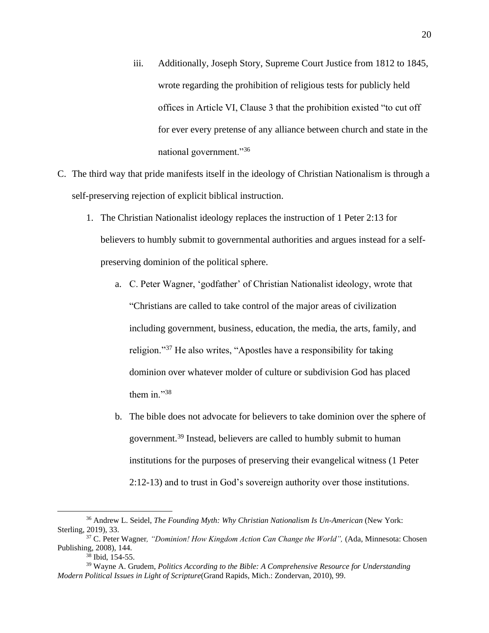- iii. Additionally, Joseph Story, Supreme Court Justice from 1812 to 1845, wrote regarding the prohibition of religious tests for publicly held offices in Article VI, Clause 3 that the prohibition existed "to cut off for ever every pretense of any alliance between church and state in the national government."<sup>36</sup>
- C. The third way that pride manifests itself in the ideology of Christian Nationalism is through a self-preserving rejection of explicit biblical instruction.
	- 1. The Christian Nationalist ideology replaces the instruction of 1 Peter 2:13 for believers to humbly submit to governmental authorities and argues instead for a selfpreserving dominion of the political sphere.
		- a. C. Peter Wagner, 'godfather' of Christian Nationalist ideology, wrote that "Christians are called to take control of the major areas of civilization including government, business, education, the media, the arts, family, and religion."<sup>37</sup> He also writes, "Apostles have a responsibility for taking dominion over whatever molder of culture or subdivision God has placed them in."38
		- b. The bible does not advocate for believers to take dominion over the sphere of government. <sup>39</sup> Instead, believers are called to humbly submit to human institutions for the purposes of preserving their evangelical witness (1 Peter 2:12-13) and to trust in God's sovereign authority over those institutions.

<sup>36</sup> Andrew L. Seidel, *The Founding Myth: Why Christian Nationalism Is Un-American* (New York: Sterling, 2019), 33.

<sup>&</sup>lt;sup>37</sup> C. Peter Wagner, *"Dominion! How Kingdom Action Can Change the World"*, (Ada, Minnesota: Chosen Publishing, 2008), 144.

Ibid, 154-55.

<sup>39</sup> Wayne A. Grudem, *Politics According to the Bible: A Comprehensive Resource for Understanding Modern Political Issues in Light of Scripture*(Grand Rapids, Mich.: Zondervan, 2010), 99.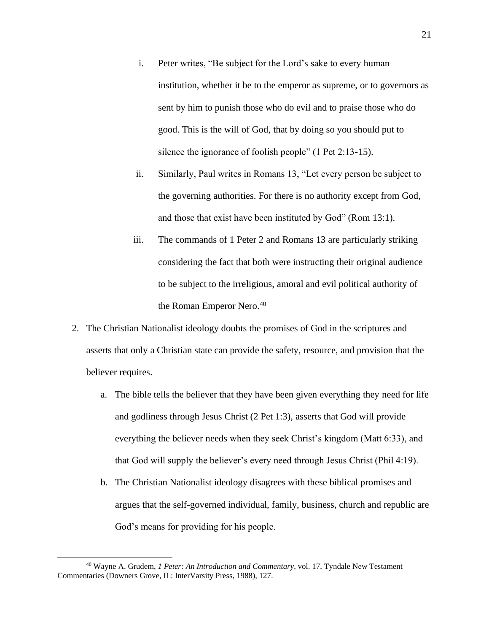- i. Peter writes, "Be subject for the Lord's sake to every human institution, whether it be to the emperor as supreme, or to governors as sent by him to punish those who do evil and to praise those who do good. This is the will of God, that by doing so you should put to silence the ignorance of foolish people" (1 Pet 2:13-15).
- ii. Similarly, Paul writes in Romans 13, "Let every person be subject to the governing authorities. For there is no authority except from God, and those that exist have been instituted by God" (Rom 13:1).
- iii. The commands of 1 Peter 2 and Romans 13 are particularly striking considering the fact that both were instructing their original audience to be subject to the irreligious, amoral and evil political authority of the Roman Emperor Nero. 40
- 2. The Christian Nationalist ideology doubts the promises of God in the scriptures and asserts that only a Christian state can provide the safety, resource, and provision that the believer requires.
	- a. The bible tells the believer that they have been given everything they need for life and godliness through Jesus Christ (2 Pet 1:3), asserts that God will provide everything the believer needs when they seek Christ's kingdom (Matt 6:33), and that God will supply the believer's every need through Jesus Christ (Phil 4:19).
	- b. The Christian Nationalist ideology disagrees with these biblical promises and argues that the self-governed individual, family, business, church and republic are God's means for providing for his people.

<sup>40</sup> Wayne A. Grudem, *1 Peter: An Introduction and Commentary*, vol. 17, Tyndale New Testament Commentaries (Downers Grove, IL: InterVarsity Press, 1988), 127.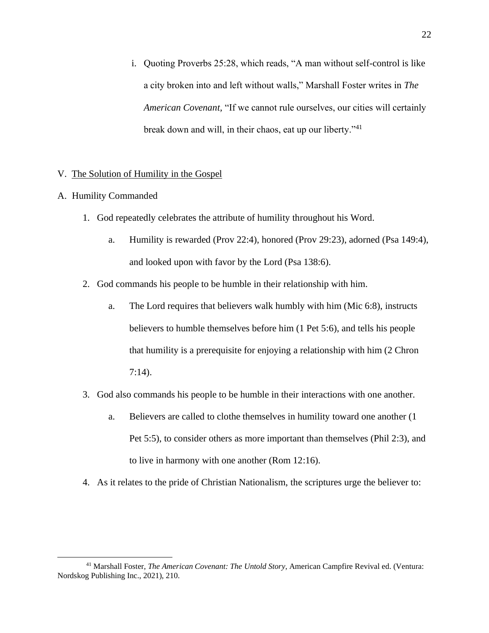i. Quoting Proverbs 25:28, which reads, "A man without self-control is like a city broken into and left without walls," Marshall Foster writes in *The American Covenant,* "If we cannot rule ourselves, our cities will certainly break down and will, in their chaos, eat up our liberty."<sup>41</sup>

## V. The Solution of Humility in the Gospel

- A. Humility Commanded
	- 1. God repeatedly celebrates the attribute of humility throughout his Word.
		- a. Humility is rewarded (Prov 22:4), honored (Prov 29:23), adorned (Psa 149:4), and looked upon with favor by the Lord (Psa 138:6).
	- 2. God commands his people to be humble in their relationship with him.
		- a. The Lord requires that believers walk humbly with him (Mic 6:8), instructs believers to humble themselves before him (1 Pet 5:6), and tells his people that humility is a prerequisite for enjoying a relationship with him (2 Chron 7:14).
	- 3. God also commands his people to be humble in their interactions with one another.
		- a. Believers are called to clothe themselves in humility toward one another (1 Pet 5:5), to consider others as more important than themselves (Phil 2:3), and to live in harmony with one another (Rom 12:16).
	- 4. As it relates to the pride of Christian Nationalism, the scriptures urge the believer to:

<sup>41</sup> Marshall Foster, *The American Covenant: The Untold Story*, American Campfire Revival ed. (Ventura: Nordskog Publishing Inc., 2021), 210.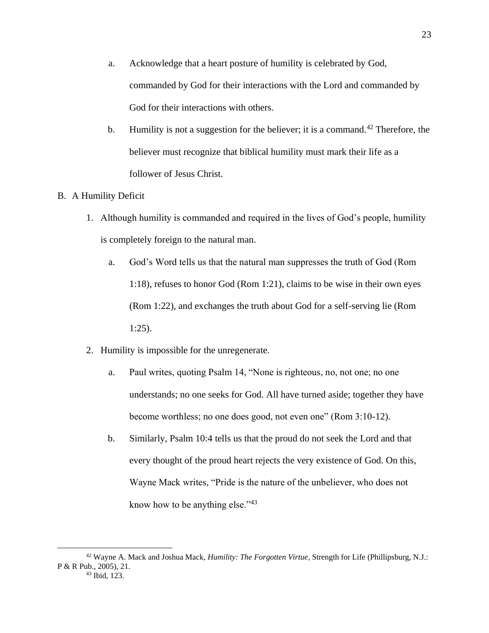- a. Acknowledge that a heart posture of humility is celebrated by God, commanded by God for their interactions with the Lord and commanded by God for their interactions with others.
- b. Humility is not a suggestion for the believer; it is a command.<sup>42</sup> Therefore, the believer must recognize that biblical humility must mark their life as a follower of Jesus Christ.

## B. A Humility Deficit

- 1. Although humility is commanded and required in the lives of God's people, humility is completely foreign to the natural man.
	- a. God's Word tells us that the natural man suppresses the truth of God (Rom 1:18), refuses to honor God (Rom 1:21), claims to be wise in their own eyes (Rom 1:22), and exchanges the truth about God for a self-serving lie (Rom 1:25).
- 2. Humility is impossible for the unregenerate.
	- a. Paul writes, quoting Psalm 14, "None is righteous, no, not one; no one understands; no one seeks for God. All have turned aside; together they have become worthless; no one does good, not even one" (Rom 3:10-12).
	- b. Similarly, Psalm 10:4 tells us that the proud do not seek the Lord and that every thought of the proud heart rejects the very existence of God. On this, Wayne Mack writes, "Pride is the nature of the unbeliever, who does not know how to be anything else."<sup>43</sup>

<sup>42</sup> Wayne A. Mack and Joshua Mack, *Humility: The Forgotten Virtue*, Strength for Life (Phillipsburg, N.J.: P & R Pub., 2005), 21. <sup>43</sup> Ibid, 123.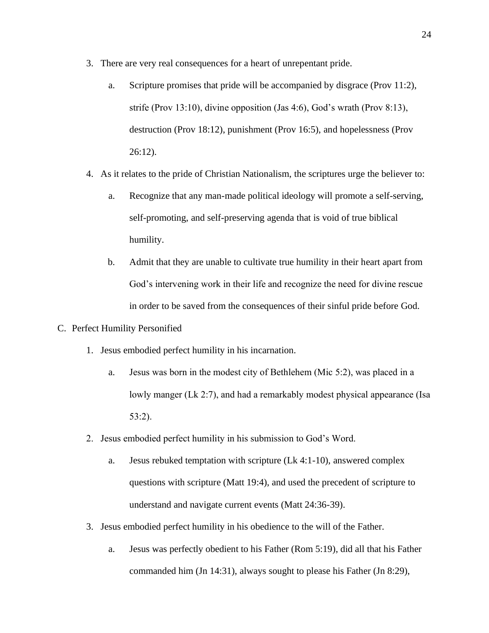- 3. There are very real consequences for a heart of unrepentant pride.
	- a. Scripture promises that pride will be accompanied by disgrace (Prov 11:2), strife (Prov 13:10), divine opposition (Jas 4:6), God's wrath (Prov 8:13), destruction (Prov 18:12), punishment (Prov 16:5), and hopelessness (Prov 26:12).
- 4. As it relates to the pride of Christian Nationalism, the scriptures urge the believer to:
	- a. Recognize that any man-made political ideology will promote a self-serving, self-promoting, and self-preserving agenda that is void of true biblical humility.
	- b. Admit that they are unable to cultivate true humility in their heart apart from God's intervening work in their life and recognize the need for divine rescue in order to be saved from the consequences of their sinful pride before God.
- C. Perfect Humility Personified
	- 1. Jesus embodied perfect humility in his incarnation.
		- a. Jesus was born in the modest city of Bethlehem (Mic 5:2), was placed in a lowly manger (Lk 2:7), and had a remarkably modest physical appearance (Isa 53:2).
	- 2. Jesus embodied perfect humility in his submission to God's Word.
		- a. Jesus rebuked temptation with scripture (Lk 4:1-10), answered complex questions with scripture (Matt 19:4), and used the precedent of scripture to understand and navigate current events (Matt 24:36-39).
	- 3. Jesus embodied perfect humility in his obedience to the will of the Father.
		- a. Jesus was perfectly obedient to his Father (Rom 5:19), did all that his Father commanded him (Jn 14:31), always sought to please his Father (Jn 8:29),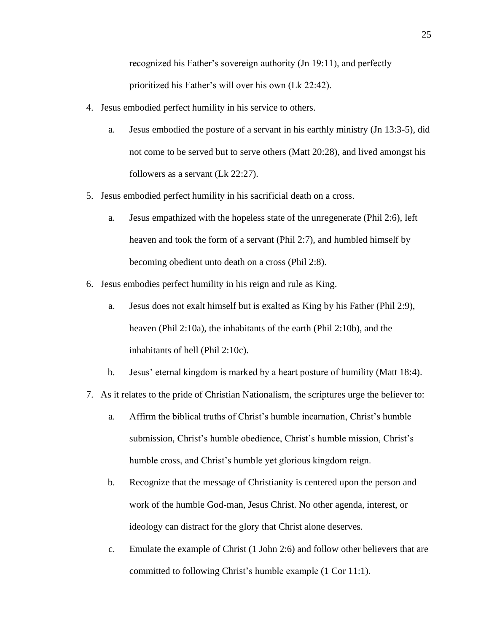recognized his Father's sovereign authority (Jn 19:11), and perfectly prioritized his Father's will over his own (Lk 22:42).

- 4. Jesus embodied perfect humility in his service to others.
	- a. Jesus embodied the posture of a servant in his earthly ministry (Jn 13:3-5), did not come to be served but to serve others (Matt 20:28), and lived amongst his followers as a servant (Lk 22:27).
- 5. Jesus embodied perfect humility in his sacrificial death on a cross.
	- a. Jesus empathized with the hopeless state of the unregenerate (Phil 2:6), left heaven and took the form of a servant (Phil 2:7), and humbled himself by becoming obedient unto death on a cross (Phil 2:8).
- 6. Jesus embodies perfect humility in his reign and rule as King.
	- a. Jesus does not exalt himself but is exalted as King by his Father (Phil 2:9), heaven (Phil 2:10a), the inhabitants of the earth (Phil 2:10b), and the inhabitants of hell (Phil 2:10c).
	- b. Jesus' eternal kingdom is marked by a heart posture of humility (Matt 18:4).
- 7. As it relates to the pride of Christian Nationalism, the scriptures urge the believer to:
	- a. Affirm the biblical truths of Christ's humble incarnation, Christ's humble submission, Christ's humble obedience, Christ's humble mission, Christ's humble cross, and Christ's humble yet glorious kingdom reign.
	- b. Recognize that the message of Christianity is centered upon the person and work of the humble God-man, Jesus Christ. No other agenda, interest, or ideology can distract for the glory that Christ alone deserves.
	- c. Emulate the example of Christ (1 John 2:6) and follow other believers that are committed to following Christ's humble example (1 Cor 11:1).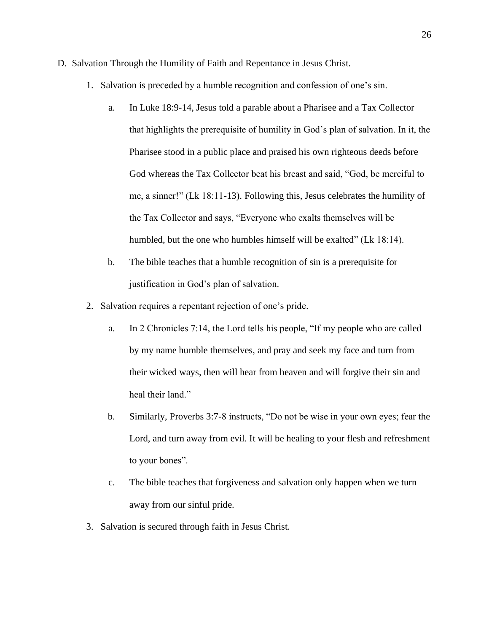- D. Salvation Through the Humility of Faith and Repentance in Jesus Christ.
	- 1. Salvation is preceded by a humble recognition and confession of one's sin.
		- a. In Luke 18:9-14, Jesus told a parable about a Pharisee and a Tax Collector that highlights the prerequisite of humility in God's plan of salvation. In it, the Pharisee stood in a public place and praised his own righteous deeds before God whereas the Tax Collector beat his breast and said, "God, be merciful to me, a sinner!" (Lk 18:11-13). Following this, Jesus celebrates the humility of the Tax Collector and says, "Everyone who exalts themselves will be humbled, but the one who humbles himself will be exalted" (Lk 18:14).
		- b. The bible teaches that a humble recognition of sin is a prerequisite for justification in God's plan of salvation.
	- 2. Salvation requires a repentant rejection of one's pride.
		- a. In 2 Chronicles 7:14, the Lord tells his people, "If my people who are called by my name humble themselves, and pray and seek my face and turn from their wicked ways, then will hear from heaven and will forgive their sin and heal their land."
		- b. Similarly, Proverbs 3:7-8 instructs, "Do not be wise in your own eyes; fear the Lord, and turn away from evil. It will be healing to your flesh and refreshment to your bones".
		- c. The bible teaches that forgiveness and salvation only happen when we turn away from our sinful pride.
	- 3. Salvation is secured through faith in Jesus Christ.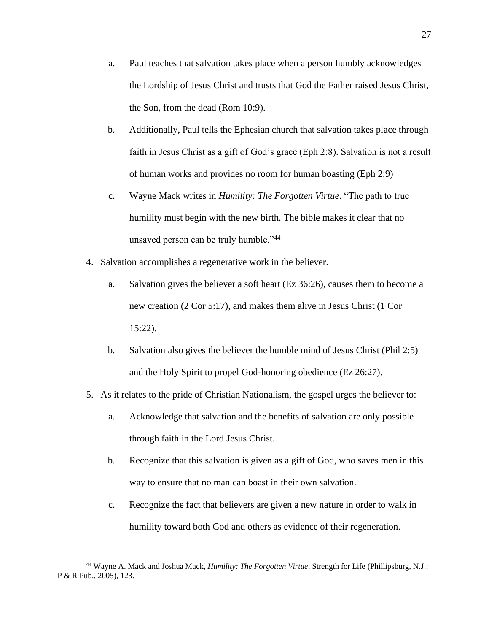- a. Paul teaches that salvation takes place when a person humbly acknowledges the Lordship of Jesus Christ and trusts that God the Father raised Jesus Christ, the Son, from the dead (Rom 10:9).
- b. Additionally, Paul tells the Ephesian church that salvation takes place through faith in Jesus Christ as a gift of God's grace (Eph 2:8). Salvation is not a result of human works and provides no room for human boasting (Eph 2:9)
- c. Wayne Mack writes in *Humility: The Forgotten Virtue*, "The path to true humility must begin with the new birth. The bible makes it clear that no unsaved person can be truly humble."<sup>44</sup>
- 4. Salvation accomplishes a regenerative work in the believer.
	- a. Salvation gives the believer a soft heart (Ez 36:26), causes them to become a new creation (2 Cor 5:17), and makes them alive in Jesus Christ (1 Cor 15:22).
	- b. Salvation also gives the believer the humble mind of Jesus Christ (Phil 2:5) and the Holy Spirit to propel God-honoring obedience (Ez 26:27).
- 5. As it relates to the pride of Christian Nationalism, the gospel urges the believer to:
	- a. Acknowledge that salvation and the benefits of salvation are only possible through faith in the Lord Jesus Christ.
	- b. Recognize that this salvation is given as a gift of God, who saves men in this way to ensure that no man can boast in their own salvation.
	- c. Recognize the fact that believers are given a new nature in order to walk in humility toward both God and others as evidence of their regeneration.

<sup>44</sup> Wayne A. Mack and Joshua Mack, *Humility: The Forgotten Virtue*, Strength for Life (Phillipsburg, N.J.: P & R Pub., 2005), 123.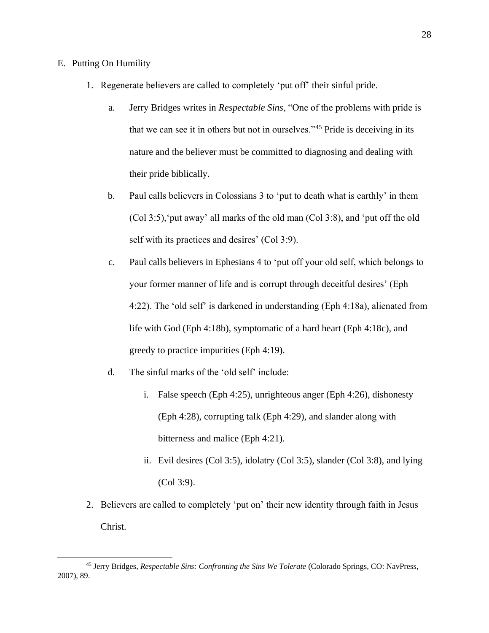## E. Putting On Humility

- 1. Regenerate believers are called to completely 'put off' their sinful pride.
	- a. Jerry Bridges writes in *Respectable Sins*, "One of the problems with pride is that we can see it in others but not in ourselves."<sup>45</sup> Pride is deceiving in its nature and the believer must be committed to diagnosing and dealing with their pride biblically.
	- b. Paul calls believers in Colossians 3 to 'put to death what is earthly' in them (Col 3:5),'put away' all marks of the old man (Col 3:8), and 'put off the old self with its practices and desires' (Col 3:9).
	- c. Paul calls believers in Ephesians 4 to 'put off your old self, which belongs to your former manner of life and is corrupt through deceitful desires' (Eph 4:22). The 'old self' is darkened in understanding (Eph 4:18a), alienated from life with God (Eph 4:18b), symptomatic of a hard heart (Eph 4:18c), and greedy to practice impurities (Eph 4:19).
	- d. The sinful marks of the 'old self' include:
		- i. False speech (Eph 4:25), unrighteous anger (Eph 4:26), dishonesty (Eph 4:28), corrupting talk (Eph 4:29), and slander along with bitterness and malice (Eph 4:21).
		- ii. Evil desires (Col 3:5), idolatry (Col 3:5), slander (Col 3:8), and lying (Col 3:9).
- 2. Believers are called to completely 'put on' their new identity through faith in Jesus Christ.

<sup>45</sup> Jerry Bridges, *Respectable Sins: Confronting the Sins We Tolerate* (Colorado Springs, CO: NavPress, 2007), 89.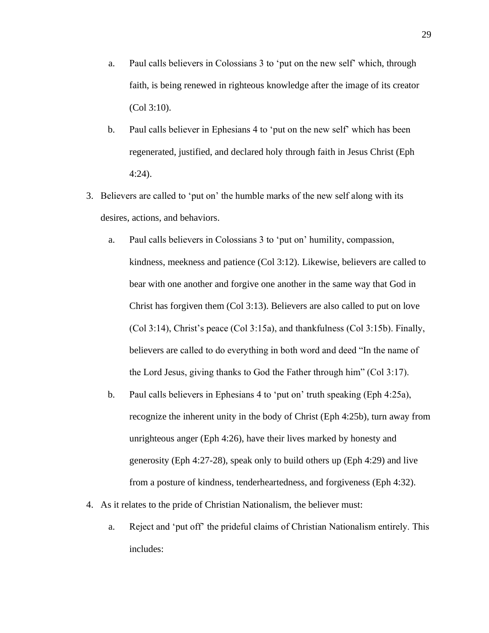- a. Paul calls believers in Colossians 3 to 'put on the new self' which, through faith, is being renewed in righteous knowledge after the image of its creator (Col 3:10).
- b. Paul calls believer in Ephesians 4 to 'put on the new self' which has been regenerated, justified, and declared holy through faith in Jesus Christ (Eph 4:24).
- 3. Believers are called to 'put on' the humble marks of the new self along with its desires, actions, and behaviors.
	- a. Paul calls believers in Colossians 3 to 'put on' humility, compassion, kindness, meekness and patience (Col 3:12). Likewise, believers are called to bear with one another and forgive one another in the same way that God in Christ has forgiven them (Col 3:13). Believers are also called to put on love (Col 3:14), Christ's peace (Col 3:15a), and thankfulness (Col 3:15b). Finally, believers are called to do everything in both word and deed "In the name of the Lord Jesus, giving thanks to God the Father through him" (Col 3:17).
	- b. Paul calls believers in Ephesians 4 to 'put on' truth speaking (Eph 4:25a), recognize the inherent unity in the body of Christ (Eph 4:25b), turn away from unrighteous anger (Eph 4:26), have their lives marked by honesty and generosity (Eph 4:27-28), speak only to build others up (Eph 4:29) and live from a posture of kindness, tenderheartedness, and forgiveness (Eph 4:32).
- 4. As it relates to the pride of Christian Nationalism, the believer must:
	- a. Reject and 'put off' the prideful claims of Christian Nationalism entirely. This includes: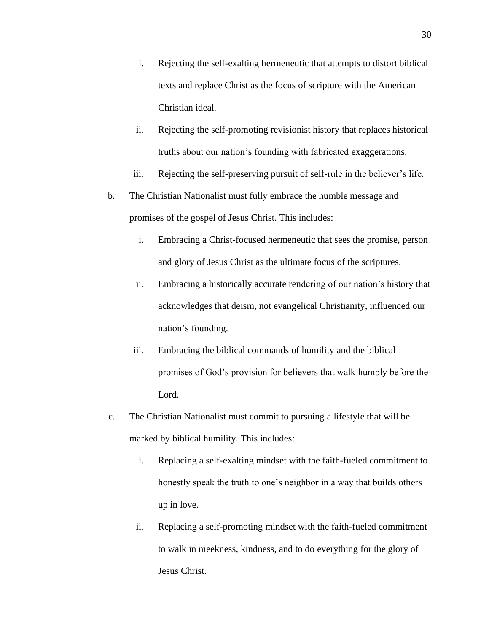- i. Rejecting the self-exalting hermeneutic that attempts to distort biblical texts and replace Christ as the focus of scripture with the American Christian ideal.
- ii. Rejecting the self-promoting revisionist history that replaces historical truths about our nation's founding with fabricated exaggerations.
- iii. Rejecting the self-preserving pursuit of self-rule in the believer's life.
- b. The Christian Nationalist must fully embrace the humble message and promises of the gospel of Jesus Christ. This includes:
	- i. Embracing a Christ-focused hermeneutic that sees the promise, person and glory of Jesus Christ as the ultimate focus of the scriptures.
	- ii. Embracing a historically accurate rendering of our nation's history that acknowledges that deism, not evangelical Christianity, influenced our nation's founding.
	- iii. Embracing the biblical commands of humility and the biblical promises of God's provision for believers that walk humbly before the Lord.
- c. The Christian Nationalist must commit to pursuing a lifestyle that will be marked by biblical humility. This includes:
	- i. Replacing a self-exalting mindset with the faith-fueled commitment to honestly speak the truth to one's neighbor in a way that builds others up in love.
	- ii. Replacing a self-promoting mindset with the faith-fueled commitment to walk in meekness, kindness, and to do everything for the glory of Jesus Christ.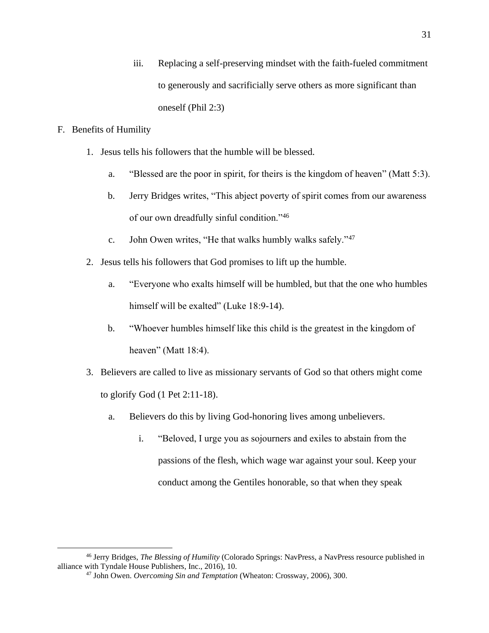iii. Replacing a self-preserving mindset with the faith-fueled commitment to generously and sacrificially serve others as more significant than oneself (Phil 2:3)

## F. Benefits of Humility

- 1. Jesus tells his followers that the humble will be blessed.
	- a. "Blessed are the poor in spirit, for theirs is the kingdom of heaven" (Matt 5:3).
	- b. Jerry Bridges writes, "This abject poverty of spirit comes from our awareness of our own dreadfully sinful condition."<sup>46</sup>
	- c. John Owen writes, "He that walks humbly walks safely."<sup>47</sup>
- 2. Jesus tells his followers that God promises to lift up the humble.
	- a. "Everyone who exalts himself will be humbled, but that the one who humbles himself will be exalted" (Luke 18:9-14).
	- b. "Whoever humbles himself like this child is the greatest in the kingdom of heaven" (Matt 18:4).
- 3. Believers are called to live as missionary servants of God so that others might come to glorify God (1 Pet 2:11-18).
	- a. Believers do this by living God-honoring lives among unbelievers.
		- i. "Beloved, I urge you as sojourners and exiles to abstain from the passions of the flesh, which wage war against your soul. Keep your conduct among the Gentiles honorable, so that when they speak

<sup>46</sup> Jerry Bridges, *The Blessing of Humility* (Colorado Springs: NavPress, a NavPress resource published in alliance with Tyndale House Publishers, Inc., 2016), 10.

<sup>47</sup> John Owen. *Overcoming Sin and Temptation* (Wheaton: Crossway, 2006), 300.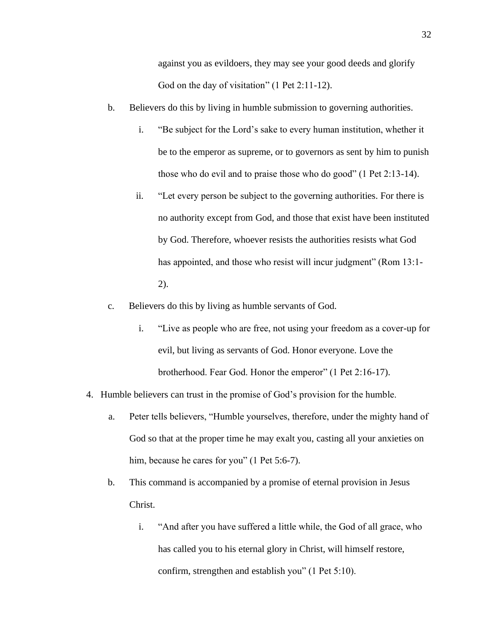against you as evildoers, they may see your good deeds and glorify God on the day of visitation" (1 Pet 2:11-12).

- b. Believers do this by living in humble submission to governing authorities.
	- i. "Be subject for the Lord's sake to every human institution, whether it be to the emperor as supreme, or to governors as sent by him to punish those who do evil and to praise those who do good" (1 Pet 2:13-14).
	- ii. "Let every person be subject to the governing authorities. For there is no authority except from God, and those that exist have been instituted by God. Therefore, whoever resists the authorities resists what God has appointed, and those who resist will incur judgment" (Rom 13:1-2).
- c. Believers do this by living as humble servants of God.
	- i. "Live as people who are free, not using your freedom as a cover-up for evil, but living as servants of God. Honor everyone. Love the brotherhood. Fear God. Honor the emperor" (1 Pet 2:16-17).
- 4. Humble believers can trust in the promise of God's provision for the humble.
	- a. Peter tells believers, "Humble yourselves, therefore, under the mighty hand of God so that at the proper time he may exalt you, casting all your anxieties on him, because he cares for you" (1 Pet 5:6-7).
	- b. This command is accompanied by a promise of eternal provision in Jesus Christ.
		- i. "And after you have suffered a little while, the God of all grace, who has called you to his eternal glory in Christ, will himself restore, confirm, strengthen and establish you" (1 Pet 5:10).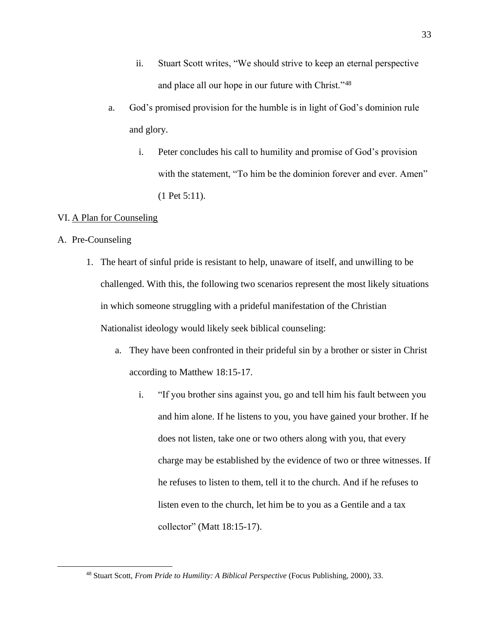- ii. Stuart Scott writes, "We should strive to keep an eternal perspective and place all our hope in our future with Christ."<sup>48</sup>
- a. God's promised provision for the humble is in light of God's dominion rule and glory.
	- i. Peter concludes his call to humility and promise of God's provision with the statement, "To him be the dominion forever and ever. Amen" (1 Pet 5:11).

## VI. A Plan for Counseling

## A. Pre-Counseling

- 1. The heart of sinful pride is resistant to help, unaware of itself, and unwilling to be challenged. With this, the following two scenarios represent the most likely situations in which someone struggling with a prideful manifestation of the Christian Nationalist ideology would likely seek biblical counseling:
	- a. They have been confronted in their prideful sin by a brother or sister in Christ according to Matthew 18:15-17.
		- i. "If you brother sins against you, go and tell him his fault between you and him alone. If he listens to you, you have gained your brother. If he does not listen, take one or two others along with you, that every charge may be established by the evidence of two or three witnesses. If he refuses to listen to them, tell it to the church. And if he refuses to listen even to the church, let him be to you as a Gentile and a tax collector" (Matt 18:15-17).

<sup>48</sup> Stuart Scott, *From Pride to Humility: A Biblical Perspective* (Focus Publishing, 2000), 33.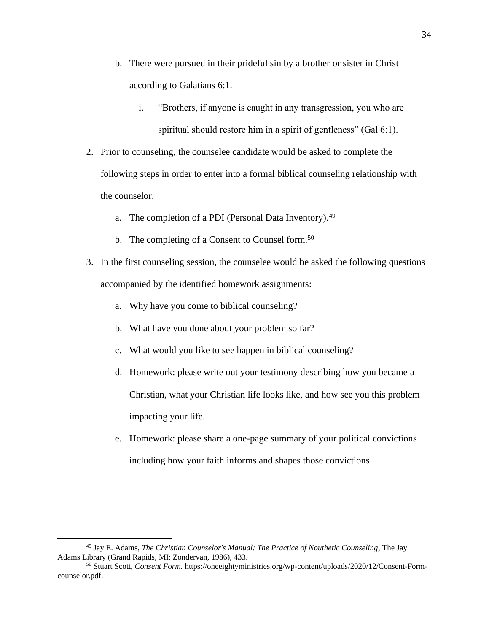- b. There were pursued in their prideful sin by a brother or sister in Christ according to Galatians 6:1.
	- i. "Brothers, if anyone is caught in any transgression, you who are spiritual should restore him in a spirit of gentleness" (Gal 6:1).
- 2. Prior to counseling, the counselee candidate would be asked to complete the following steps in order to enter into a formal biblical counseling relationship with the counselor.
	- a. The completion of a PDI (Personal Data Inventory).<sup>49</sup>
	- b. The completing of a Consent to Counsel form.<sup>50</sup>
- 3. In the first counseling session, the counselee would be asked the following questions accompanied by the identified homework assignments:
	- a. Why have you come to biblical counseling?
	- b. What have you done about your problem so far?
	- c. What would you like to see happen in biblical counseling?
	- d. Homework: please write out your testimony describing how you became a Christian, what your Christian life looks like, and how see you this problem impacting your life.
	- e. Homework: please share a one-page summary of your political convictions including how your faith informs and shapes those convictions.

<sup>49</sup> Jay E. Adams, *The Christian Counselor's Manual: The Practice of Nouthetic Counseling*, The Jay Adams Library (Grand Rapids, MI: Zondervan, 1986), 433.

<sup>50</sup> Stuart Scott, *Consent Form.* https://oneeightyministries.org/wp-content/uploads/2020/12/Consent-Formcounselor.pdf.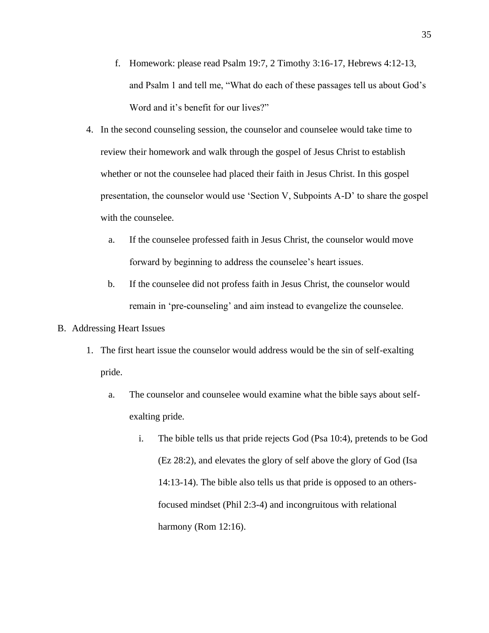- f. Homework: please read Psalm 19:7, 2 Timothy 3:16-17, Hebrews 4:12-13, and Psalm 1 and tell me, "What do each of these passages tell us about God's Word and it's benefit for our lives?"
- 4. In the second counseling session, the counselor and counselee would take time to review their homework and walk through the gospel of Jesus Christ to establish whether or not the counselee had placed their faith in Jesus Christ. In this gospel presentation, the counselor would use 'Section V, Subpoints A-D' to share the gospel with the counselee.
	- a. If the counselee professed faith in Jesus Christ, the counselor would move forward by beginning to address the counselee's heart issues.
	- b. If the counselee did not profess faith in Jesus Christ, the counselor would remain in 'pre-counseling' and aim instead to evangelize the counselee.
- B. Addressing Heart Issues
	- 1. The first heart issue the counselor would address would be the sin of self-exalting pride.
		- a. The counselor and counselee would examine what the bible says about selfexalting pride.
			- i. The bible tells us that pride rejects God (Psa 10:4), pretends to be God (Ez 28:2), and elevates the glory of self above the glory of God (Isa 14:13-14). The bible also tells us that pride is opposed to an othersfocused mindset (Phil 2:3-4) and incongruitous with relational harmony (Rom 12:16).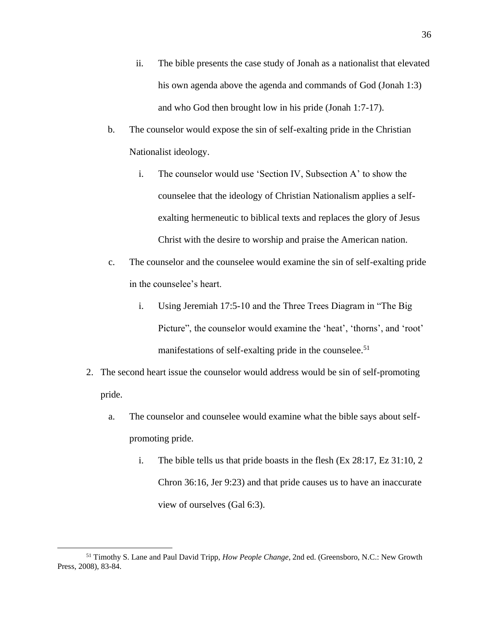- ii. The bible presents the case study of Jonah as a nationalist that elevated his own agenda above the agenda and commands of God (Jonah 1:3) and who God then brought low in his pride (Jonah 1:7-17).
- b. The counselor would expose the sin of self-exalting pride in the Christian Nationalist ideology.
	- i. The counselor would use 'Section IV, Subsection A' to show the counselee that the ideology of Christian Nationalism applies a selfexalting hermeneutic to biblical texts and replaces the glory of Jesus Christ with the desire to worship and praise the American nation.
- c. The counselor and the counselee would examine the sin of self-exalting pride in the counselee's heart.
	- i. Using Jeremiah 17:5-10 and the Three Trees Diagram in "The Big Picture", the counselor would examine the 'heat', 'thorns', and 'root' manifestations of self-exalting pride in the counselee.<sup>51</sup>
- 2. The second heart issue the counselor would address would be sin of self-promoting pride.
	- a. The counselor and counselee would examine what the bible says about selfpromoting pride.
		- i. The bible tells us that pride boasts in the flesh (Ex 28:17, Ez 31:10, 2 Chron 36:16, Jer 9:23) and that pride causes us to have an inaccurate view of ourselves (Gal 6:3).

<sup>51</sup> Timothy S. Lane and Paul David Tripp, *How People Change*, 2nd ed. (Greensboro, N.C.: New Growth Press, 2008), 83-84.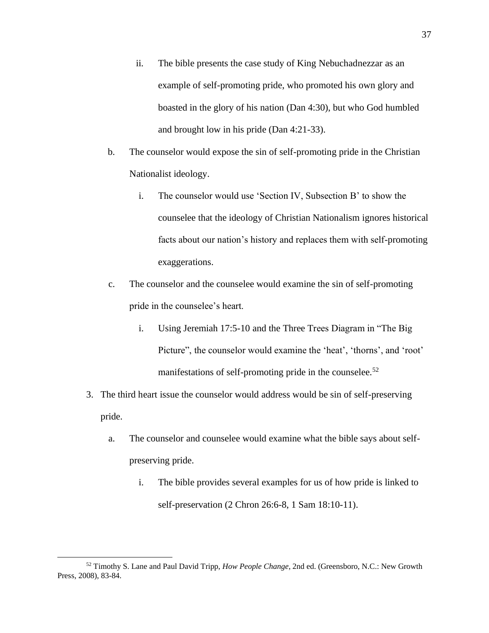- ii. The bible presents the case study of King Nebuchadnezzar as an example of self-promoting pride, who promoted his own glory and boasted in the glory of his nation (Dan 4:30), but who God humbled and brought low in his pride (Dan 4:21-33).
- b. The counselor would expose the sin of self-promoting pride in the Christian Nationalist ideology.
	- i. The counselor would use 'Section IV, Subsection B' to show the counselee that the ideology of Christian Nationalism ignores historical facts about our nation's history and replaces them with self-promoting exaggerations.
- c. The counselor and the counselee would examine the sin of self-promoting pride in the counselee's heart.
	- i. Using Jeremiah 17:5-10 and the Three Trees Diagram in "The Big Picture", the counselor would examine the 'heat', 'thorns', and 'root' manifestations of self-promoting pride in the counselee.<sup>52</sup>
- 3. The third heart issue the counselor would address would be sin of self-preserving pride.
	- a. The counselor and counselee would examine what the bible says about selfpreserving pride.
		- i. The bible provides several examples for us of how pride is linked to self-preservation (2 Chron 26:6-8, 1 Sam 18:10-11).

<sup>52</sup> Timothy S. Lane and Paul David Tripp, *How People Change*, 2nd ed. (Greensboro, N.C.: New Growth Press, 2008), 83-84.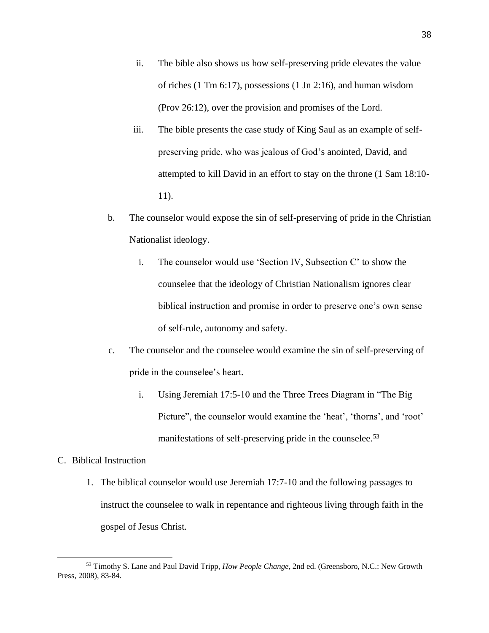- ii. The bible also shows us how self-preserving pride elevates the value of riches (1 Tm 6:17), possessions (1 Jn 2:16), and human wisdom (Prov 26:12), over the provision and promises of the Lord.
- iii. The bible presents the case study of King Saul as an example of selfpreserving pride, who was jealous of God's anointed, David, and attempted to kill David in an effort to stay on the throne (1 Sam 18:10- 11).
- b. The counselor would expose the sin of self-preserving of pride in the Christian Nationalist ideology.
	- i. The counselor would use 'Section IV, Subsection C' to show the counselee that the ideology of Christian Nationalism ignores clear biblical instruction and promise in order to preserve one's own sense of self-rule, autonomy and safety.
- c. The counselor and the counselee would examine the sin of self-preserving of pride in the counselee's heart.
	- i. Using Jeremiah 17:5-10 and the Three Trees Diagram in "The Big Picture", the counselor would examine the 'heat', 'thorns', and 'root' manifestations of self-preserving pride in the counselee.<sup>53</sup>

## C. Biblical Instruction

1. The biblical counselor would use Jeremiah 17:7-10 and the following passages to instruct the counselee to walk in repentance and righteous living through faith in the gospel of Jesus Christ.

<sup>53</sup> Timothy S. Lane and Paul David Tripp, *How People Change*, 2nd ed. (Greensboro, N.C.: New Growth Press, 2008), 83-84.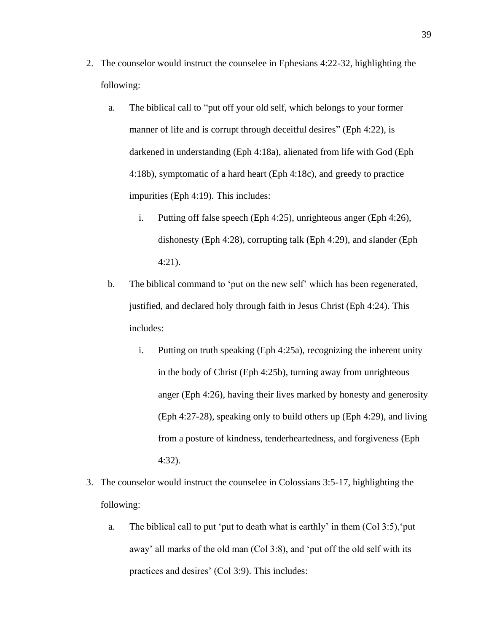- 2. The counselor would instruct the counselee in Ephesians 4:22-32, highlighting the following:
	- a. The biblical call to "put off your old self, which belongs to your former manner of life and is corrupt through deceitful desires" (Eph 4:22), is darkened in understanding (Eph 4:18a), alienated from life with God (Eph 4:18b), symptomatic of a hard heart (Eph 4:18c), and greedy to practice impurities (Eph 4:19). This includes:
		- i. Putting off false speech (Eph 4:25), unrighteous anger (Eph 4:26), dishonesty (Eph 4:28), corrupting talk (Eph 4:29), and slander (Eph 4:21).
	- b. The biblical command to 'put on the new self' which has been regenerated, justified, and declared holy through faith in Jesus Christ (Eph 4:24). This includes:
		- i. Putting on truth speaking (Eph 4:25a), recognizing the inherent unity in the body of Christ (Eph 4:25b), turning away from unrighteous anger (Eph 4:26), having their lives marked by honesty and generosity (Eph 4:27-28), speaking only to build others up (Eph 4:29), and living from a posture of kindness, tenderheartedness, and forgiveness (Eph 4:32).
- 3. The counselor would instruct the counselee in Colossians 3:5-17, highlighting the following:
	- a. The biblical call to put 'put to death what is earthly' in them (Col 3:5),'put away' all marks of the old man (Col 3:8), and 'put off the old self with its practices and desires' (Col 3:9). This includes: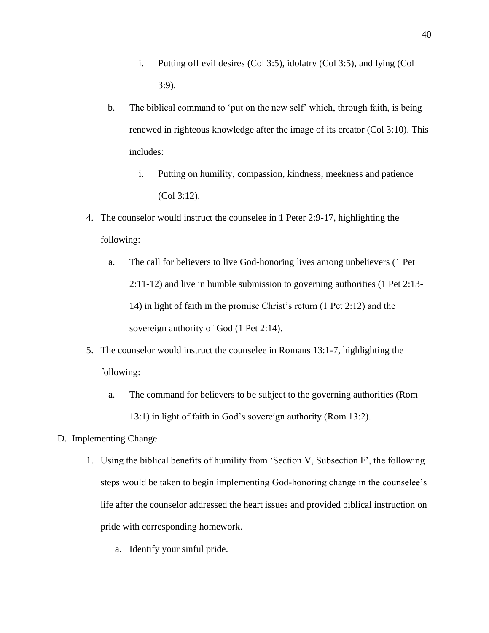- i. Putting off evil desires (Col 3:5), idolatry (Col 3:5), and lying (Col 3:9).
- b. The biblical command to 'put on the new self' which, through faith, is being renewed in righteous knowledge after the image of its creator (Col 3:10). This includes:
	- i. Putting on humility, compassion, kindness, meekness and patience (Col 3:12).
- 4. The counselor would instruct the counselee in 1 Peter 2:9-17, highlighting the following:
	- a. The call for believers to live God-honoring lives among unbelievers (1 Pet 2:11-12) and live in humble submission to governing authorities (1 Pet 2:13- 14) in light of faith in the promise Christ's return (1 Pet 2:12) and the sovereign authority of God  $(1$  Pet 2:14).
- 5. The counselor would instruct the counselee in Romans 13:1-7, highlighting the following:
	- a. The command for believers to be subject to the governing authorities (Rom 13:1) in light of faith in God's sovereign authority (Rom 13:2).
- D. Implementing Change
	- 1. Using the biblical benefits of humility from 'Section V, Subsection F', the following steps would be taken to begin implementing God-honoring change in the counselee's life after the counselor addressed the heart issues and provided biblical instruction on pride with corresponding homework.
		- a. Identify your sinful pride.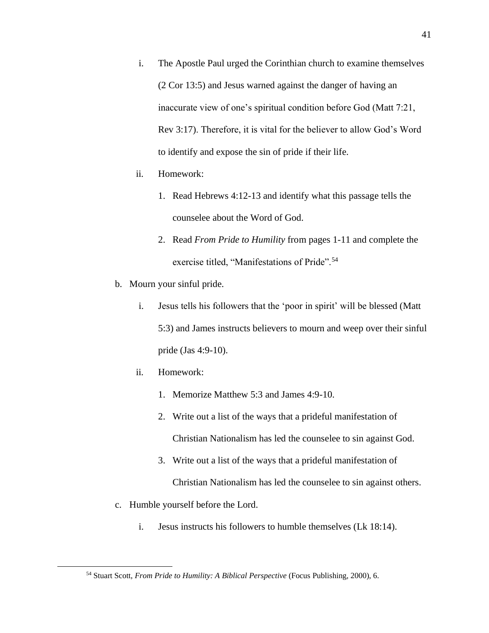- i. The Apostle Paul urged the Corinthian church to examine themselves (2 Cor 13:5) and Jesus warned against the danger of having an inaccurate view of one's spiritual condition before God (Matt 7:21, Rev 3:17). Therefore, it is vital for the believer to allow God's Word to identify and expose the sin of pride if their life.
- ii. Homework:
	- 1. Read Hebrews 4:12-13 and identify what this passage tells the counselee about the Word of God.
	- 2. Read *From Pride to Humility* from pages 1-11 and complete the exercise titled, "Manifestations of Pride".<sup>54</sup>
- b. Mourn your sinful pride.
	- i. Jesus tells his followers that the 'poor in spirit' will be blessed (Matt 5:3) and James instructs believers to mourn and weep over their sinful pride (Jas 4:9-10).
	- ii. Homework:
		- 1. Memorize Matthew 5:3 and James 4:9-10.
		- 2. Write out a list of the ways that a prideful manifestation of Christian Nationalism has led the counselee to sin against God.
		- 3. Write out a list of the ways that a prideful manifestation of Christian Nationalism has led the counselee to sin against others.
- c. Humble yourself before the Lord.
	- i. Jesus instructs his followers to humble themselves (Lk 18:14).

<sup>54</sup> Stuart Scott, *From Pride to Humility: A Biblical Perspective* (Focus Publishing, 2000), 6.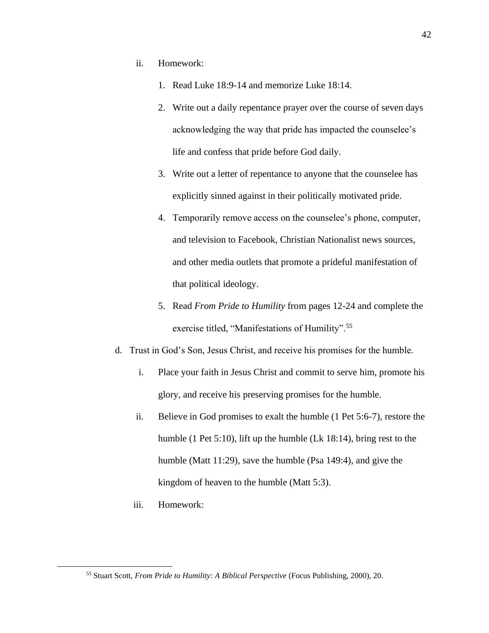- ii. Homework:
	- 1. Read Luke 18:9-14 and memorize Luke 18:14.
	- 2. Write out a daily repentance prayer over the course of seven days acknowledging the way that pride has impacted the counselee's life and confess that pride before God daily.
	- 3. Write out a letter of repentance to anyone that the counselee has explicitly sinned against in their politically motivated pride.
	- 4. Temporarily remove access on the counselee's phone, computer, and television to Facebook, Christian Nationalist news sources, and other media outlets that promote a prideful manifestation of that political ideology.
	- 5. Read *From Pride to Humility* from pages 12-24 and complete the exercise titled, "Manifestations of Humility".<sup>55</sup>
- d. Trust in God's Son, Jesus Christ, and receive his promises for the humble.
	- i. Place your faith in Jesus Christ and commit to serve him, promote his glory, and receive his preserving promises for the humble.
	- ii. Believe in God promises to exalt the humble (1 Pet 5:6-7), restore the humble (1 Pet 5:10), lift up the humble (Lk 18:14), bring rest to the humble (Matt 11:29), save the humble (Psa 149:4), and give the kingdom of heaven to the humble (Matt 5:3).
	- iii. Homework:

<sup>55</sup> Stuart Scott, *From Pride to Humility: A Biblical Perspective* (Focus Publishing, 2000), 20.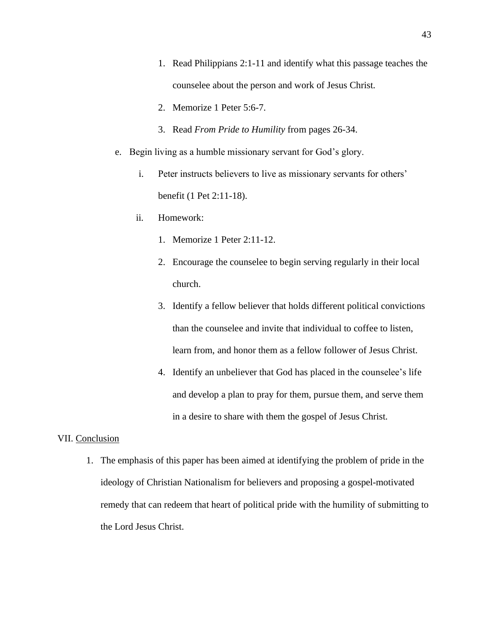- 1. Read Philippians 2:1-11 and identify what this passage teaches the counselee about the person and work of Jesus Christ.
- 2. Memorize 1 Peter 5:6-7.
- 3. Read *From Pride to Humility* from pages 26-34.
- e. Begin living as a humble missionary servant for God's glory.
	- i. Peter instructs believers to live as missionary servants for others' benefit (1 Pet 2:11-18).
	- ii. Homework:
		- 1. Memorize 1 Peter 2:11-12.
		- 2. Encourage the counselee to begin serving regularly in their local church.
		- 3. Identify a fellow believer that holds different political convictions than the counselee and invite that individual to coffee to listen, learn from, and honor them as a fellow follower of Jesus Christ.
		- 4. Identify an unbeliever that God has placed in the counselee's life and develop a plan to pray for them, pursue them, and serve them in a desire to share with them the gospel of Jesus Christ.

## VII. Conclusion

1. The emphasis of this paper has been aimed at identifying the problem of pride in the ideology of Christian Nationalism for believers and proposing a gospel-motivated remedy that can redeem that heart of political pride with the humility of submitting to the Lord Jesus Christ.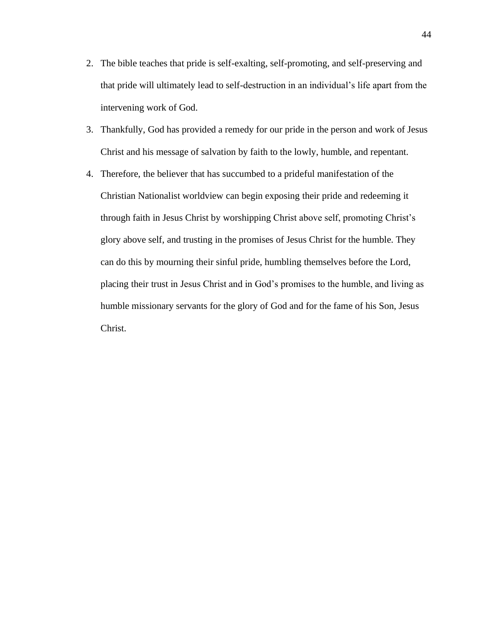- 2. The bible teaches that pride is self-exalting, self-promoting, and self-preserving and that pride will ultimately lead to self-destruction in an individual's life apart from the intervening work of God.
- 3. Thankfully, God has provided a remedy for our pride in the person and work of Jesus Christ and his message of salvation by faith to the lowly, humble, and repentant.
- 4. Therefore, the believer that has succumbed to a prideful manifestation of the Christian Nationalist worldview can begin exposing their pride and redeeming it through faith in Jesus Christ by worshipping Christ above self, promoting Christ's glory above self, and trusting in the promises of Jesus Christ for the humble. They can do this by mourning their sinful pride, humbling themselves before the Lord, placing their trust in Jesus Christ and in God's promises to the humble, and living as humble missionary servants for the glory of God and for the fame of his Son, Jesus Christ.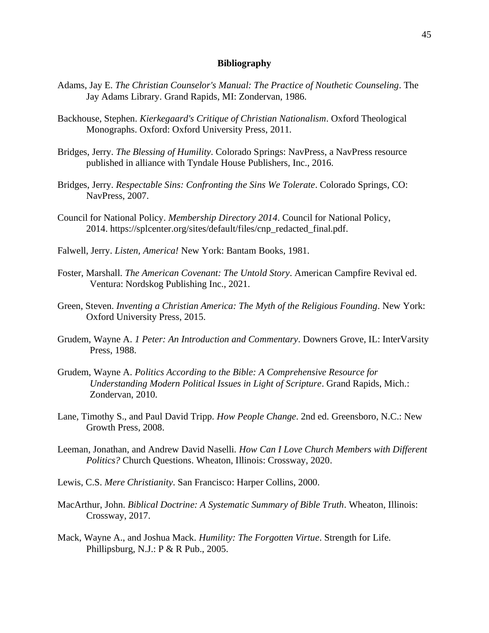## **Bibliography**

- Adams, Jay E. *The Christian Counselor's Manual: The Practice of Nouthetic Counseling*. The Jay Adams Library. Grand Rapids, MI: Zondervan, 1986.
- Backhouse, Stephen. *Kierkegaard's Critique of Christian Nationalism*. Oxford Theological Monographs. Oxford: Oxford University Press, 2011.
- Bridges, Jerry. *The Blessing of Humility*. Colorado Springs: NavPress, a NavPress resource published in alliance with Tyndale House Publishers, Inc., 2016.
- Bridges, Jerry. *Respectable Sins: Confronting the Sins We Tolerate*. Colorado Springs, CO: NavPress, 2007.
- Council for National Policy. *Membership Directory 2014*. Council for National Policy, 2014. https://splcenter.org/sites/default/files/cnp\_redacted\_final.pdf.
- Falwell, Jerry. *Listen, America!* New York: Bantam Books, 1981.
- Foster, Marshall. *The American Covenant: The Untold Story*. American Campfire Revival ed. Ventura: Nordskog Publishing Inc., 2021.
- Green, Steven. *Inventing a Christian America: The Myth of the Religious Founding*. New York: Oxford University Press, 2015.
- Grudem, Wayne A. *1 Peter: An Introduction and Commentary*. Downers Grove, IL: InterVarsity Press, 1988.
- Grudem, Wayne A. *Politics According to the Bible: A Comprehensive Resource for Understanding Modern Political Issues in Light of Scripture*. Grand Rapids, Mich.: Zondervan, 2010.
- Lane, Timothy S., and Paul David Tripp. *How People Change*. 2nd ed. Greensboro, N.C.: New Growth Press, 2008.
- Leeman, Jonathan, and Andrew David Naselli. *How Can I Love Church Members with Different Politics?* Church Questions. Wheaton, Illinois: Crossway, 2020.
- Lewis, C.S. *Mere Christianity*. San Francisco: Harper Collins, 2000.
- MacArthur, John. *Biblical Doctrine: A Systematic Summary of Bible Truth*. Wheaton, Illinois: Crossway, 2017.
- Mack, Wayne A., and Joshua Mack. *Humility: The Forgotten Virtue*. Strength for Life. Phillipsburg, N.J.: P & R Pub., 2005.